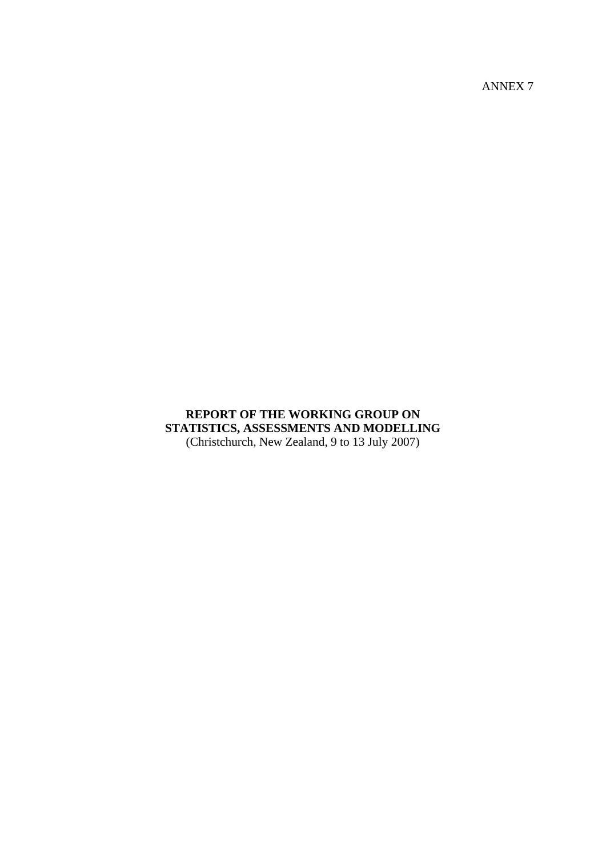ANNEX 7

## **REPORT OF THE WORKING GROUP ON STATISTICS, ASSESSMENTS AND MODELLING**  (Christchurch, New Zealand, 9 to 13 July 2007)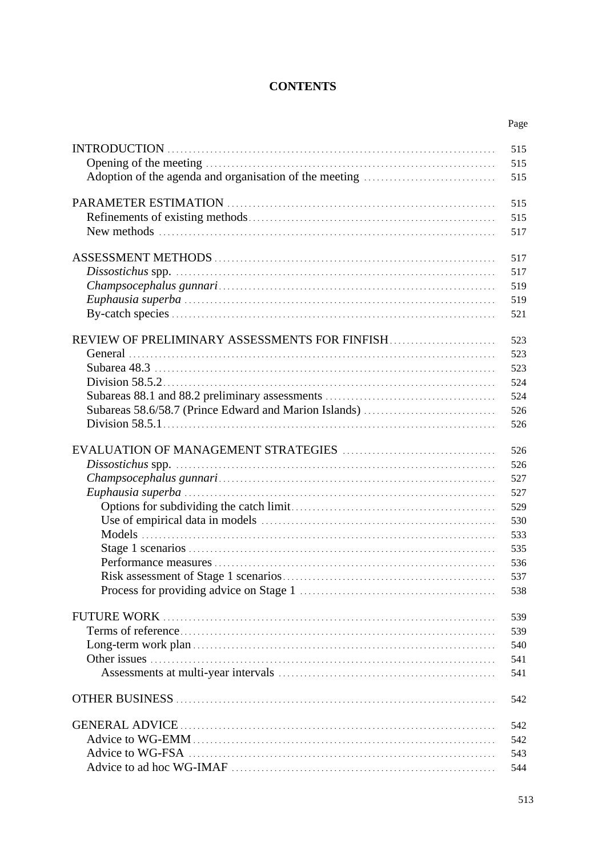## **CONTENTS**

|                                               | Page |
|-----------------------------------------------|------|
|                                               | 515  |
|                                               | 515  |
|                                               | 515  |
|                                               | 515  |
|                                               | 515  |
|                                               | 517  |
|                                               | 517  |
|                                               | 517  |
|                                               | 519  |
|                                               | 519  |
|                                               | 521  |
| REVIEW OF PRELIMINARY ASSESSMENTS FOR FINFISH | 523  |
|                                               | 523  |
|                                               | 523  |
|                                               | 524  |
|                                               | 524  |
|                                               | 526  |
|                                               | 526  |
|                                               |      |
|                                               | 526  |
|                                               | 526  |
|                                               | 527  |
|                                               | 527  |
|                                               | 529  |
|                                               | 530  |
|                                               | 533  |
|                                               | 535  |
|                                               | 536  |
|                                               | 537  |
|                                               | 538  |
|                                               | 539  |
|                                               | 539  |
|                                               | 540  |
|                                               | 541  |
|                                               | 541  |
|                                               |      |
|                                               | 542  |
|                                               | 542  |
|                                               | 542  |
|                                               | 543  |
|                                               | 544  |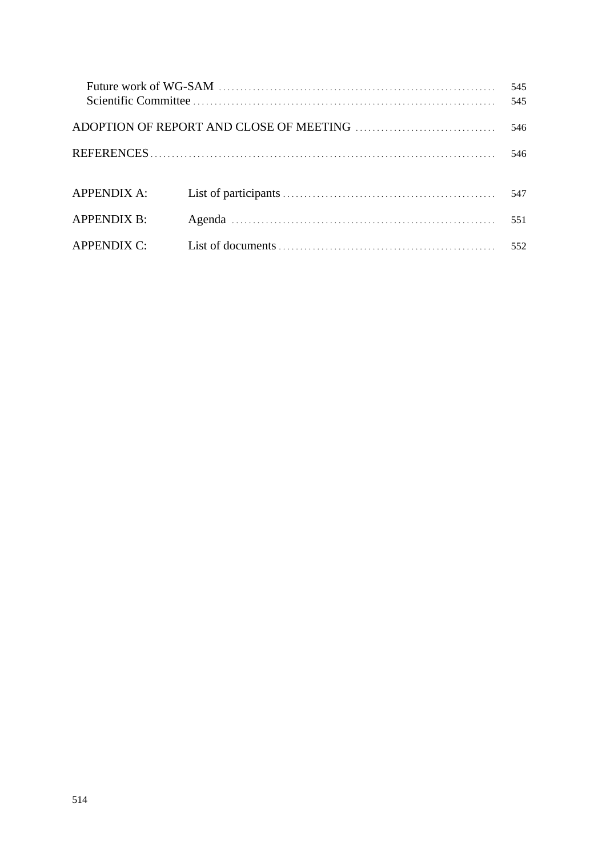|                    |  | 545<br>545 |
|--------------------|--|------------|
|                    |  | 546        |
|                    |  | 546        |
|                    |  |            |
| APPENDIX A:        |  | 547        |
| <b>APPENDIX B:</b> |  | 551        |
| <b>APPENDIX C:</b> |  | 552        |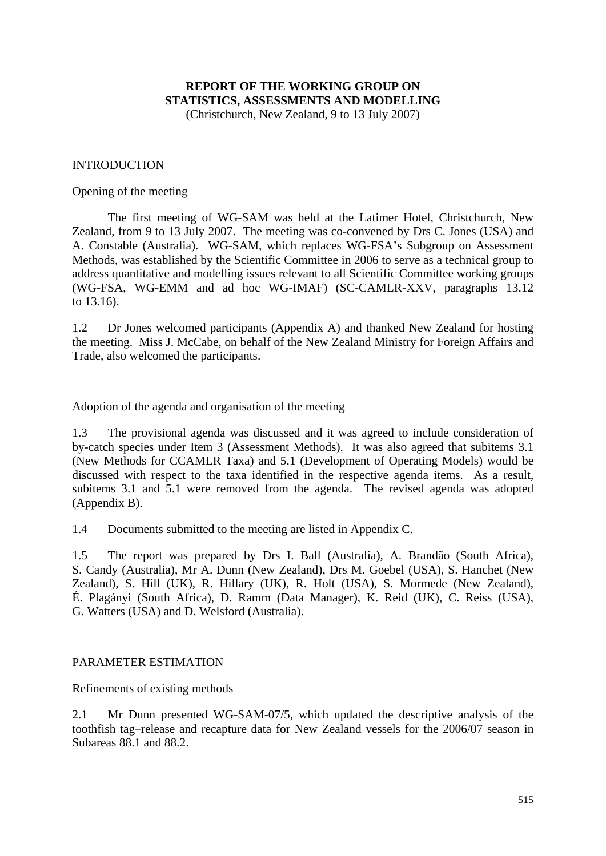# **REPORT OF THE WORKING GROUP ON STATISTICS, ASSESSMENTS AND MODELLING**

(Christchurch, New Zealand, 9 to 13 July 2007)

#### INTRODUCTION

Opening of the meeting

 The first meeting of WG-SAM was held at the Latimer Hotel, Christchurch, New Zealand, from 9 to 13 July 2007. The meeting was co-convened by Drs C. Jones (USA) and A. Constable (Australia). WG-SAM, which replaces WG-FSA's Subgroup on Assessment Methods, was established by the Scientific Committee in 2006 to serve as a technical group to address quantitative and modelling issues relevant to all Scientific Committee working groups (WG-FSA, WG-EMM and ad hoc WG-IMAF) (SC-CAMLR-XXV, paragraphs 13.12 to 13.16).

1.2 Dr Jones welcomed participants (Appendix A) and thanked New Zealand for hosting the meeting. Miss J. McCabe, on behalf of the New Zealand Ministry for Foreign Affairs and Trade, also welcomed the participants.

Adoption of the agenda and organisation of the meeting

1.3 The provisional agenda was discussed and it was agreed to include consideration of by-catch species under Item 3 (Assessment Methods). It was also agreed that subitems 3.1 (New Methods for CCAMLR Taxa) and 5.1 (Development of Operating Models) would be discussed with respect to the taxa identified in the respective agenda items. As a result, subitems 3.1 and 5.1 were removed from the agenda. The revised agenda was adopted (Appendix B).

1.4 Documents submitted to the meeting are listed in Appendix C.

1.5 The report was prepared by Drs I. Ball (Australia), A. Brandão (South Africa), S. Candy (Australia), Mr A. Dunn (New Zealand), Drs M. Goebel (USA), S. Hanchet (New Zealand), S. Hill (UK), R. Hillary (UK), R. Holt (USA), S. Mormede (New Zealand), É. Plagányi (South Africa), D. Ramm (Data Manager), K. Reid (UK), C. Reiss (USA), G. Watters (USA) and D. Welsford (Australia).

#### PARAMETER ESTIMATION

Refinements of existing methods

2.1 Mr Dunn presented WG-SAM-07/5, which updated the descriptive analysis of the toothfish tag–release and recapture data for New Zealand vessels for the 2006/07 season in Subareas 88.1 and 88.2.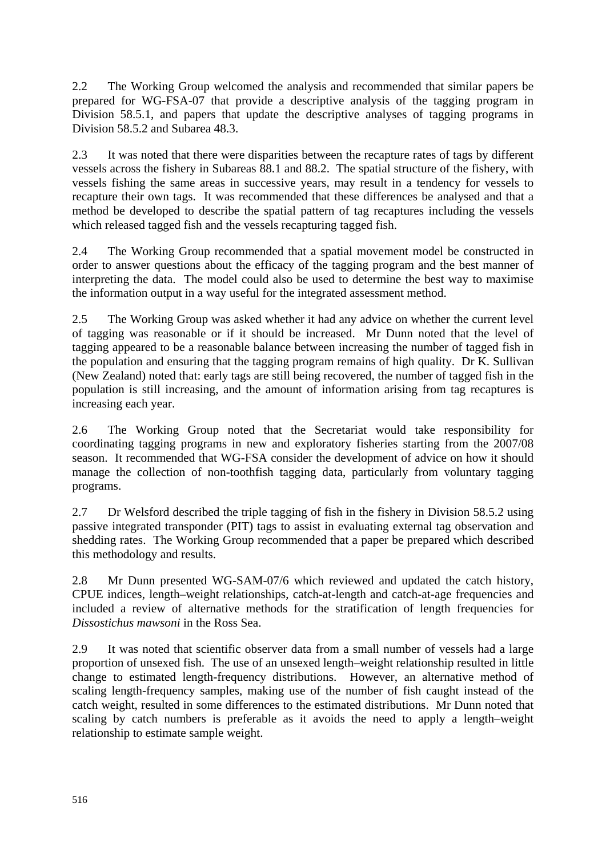2.2 The Working Group welcomed the analysis and recommended that similar papers be prepared for WG-FSA-07 that provide a descriptive analysis of the tagging program in Division 58.5.1, and papers that update the descriptive analyses of tagging programs in Division 58.5.2 and Subarea 48.3.

2.3 It was noted that there were disparities between the recapture rates of tags by different vessels across the fishery in Subareas 88.1 and 88.2. The spatial structure of the fishery, with vessels fishing the same areas in successive years, may result in a tendency for vessels to recapture their own tags. It was recommended that these differences be analysed and that a method be developed to describe the spatial pattern of tag recaptures including the vessels which released tagged fish and the vessels recapturing tagged fish.

2.4 The Working Group recommended that a spatial movement model be constructed in order to answer questions about the efficacy of the tagging program and the best manner of interpreting the data. The model could also be used to determine the best way to maximise the information output in a way useful for the integrated assessment method.

2.5 The Working Group was asked whether it had any advice on whether the current level of tagging was reasonable or if it should be increased. Mr Dunn noted that the level of tagging appeared to be a reasonable balance between increasing the number of tagged fish in the population and ensuring that the tagging program remains of high quality. Dr K. Sullivan (New Zealand) noted that: early tags are still being recovered, the number of tagged fish in the population is still increasing, and the amount of information arising from tag recaptures is increasing each year.

2.6 The Working Group noted that the Secretariat would take responsibility for coordinating tagging programs in new and exploratory fisheries starting from the 2007/08 season. It recommended that WG-FSA consider the development of advice on how it should manage the collection of non-toothfish tagging data, particularly from voluntary tagging programs.

2.7 Dr Welsford described the triple tagging of fish in the fishery in Division 58.5.2 using passive integrated transponder (PIT) tags to assist in evaluating external tag observation and shedding rates. The Working Group recommended that a paper be prepared which described this methodology and results.

2.8 Mr Dunn presented WG-SAM-07/6 which reviewed and updated the catch history, CPUE indices, length–weight relationships, catch-at-length and catch-at-age frequencies and included a review of alternative methods for the stratification of length frequencies for *Dissostichus mawsoni* in the Ross Sea.

2.9 It was noted that scientific observer data from a small number of vessels had a large proportion of unsexed fish. The use of an unsexed length–weight relationship resulted in little change to estimated length-frequency distributions. However, an alternative method of scaling length-frequency samples, making use of the number of fish caught instead of the catch weight, resulted in some differences to the estimated distributions. Mr Dunn noted that scaling by catch numbers is preferable as it avoids the need to apply a length–weight relationship to estimate sample weight.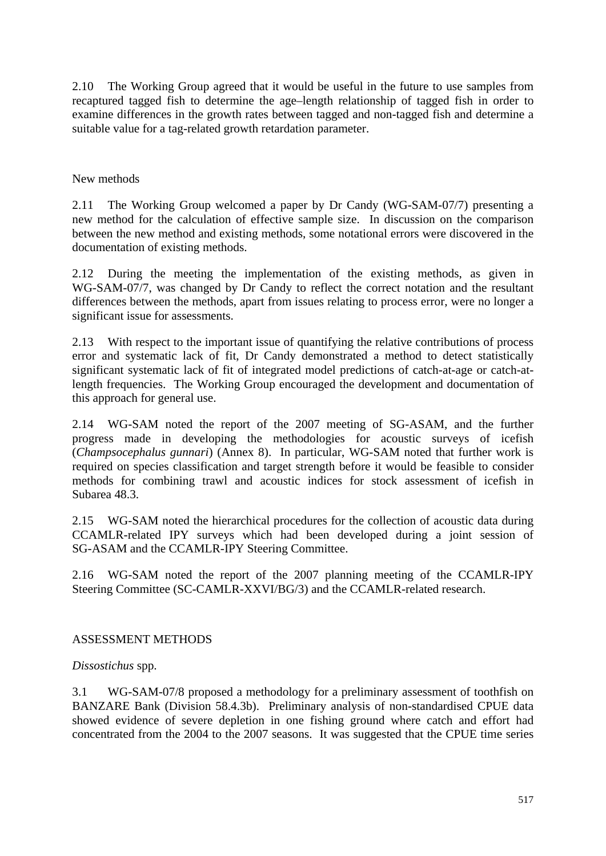2.10 The Working Group agreed that it would be useful in the future to use samples from recaptured tagged fish to determine the age–length relationship of tagged fish in order to examine differences in the growth rates between tagged and non-tagged fish and determine a suitable value for a tag-related growth retardation parameter.

New methods

2.11 The Working Group welcomed a paper by Dr Candy (WG-SAM-07/7) presenting a new method for the calculation of effective sample size. In discussion on the comparison between the new method and existing methods, some notational errors were discovered in the documentation of existing methods.

2.12 During the meeting the implementation of the existing methods, as given in WG-SAM-07/7, was changed by Dr Candy to reflect the correct notation and the resultant differences between the methods, apart from issues relating to process error, were no longer a significant issue for assessments.

2.13 With respect to the important issue of quantifying the relative contributions of process error and systematic lack of fit, Dr Candy demonstrated a method to detect statistically significant systematic lack of fit of integrated model predictions of catch-at-age or catch-atlength frequencies. The Working Group encouraged the development and documentation of this approach for general use.

2.14 WG-SAM noted the report of the 2007 meeting of SG-ASAM, and the further progress made in developing the methodologies for acoustic surveys of icefish (*Champsocephalus gunnari*) (Annex 8). In particular, WG-SAM noted that further work is required on species classification and target strength before it would be feasible to consider methods for combining trawl and acoustic indices for stock assessment of icefish in Subarea 48.3.

2.15 WG-SAM noted the hierarchical procedures for the collection of acoustic data during CCAMLR-related IPY surveys which had been developed during a joint session of SG-ASAM and the CCAMLR-IPY Steering Committee.

2.16 WG-SAM noted the report of the 2007 planning meeting of the CCAMLR-IPY Steering Committee (SC-CAMLR-XXVI/BG/3) and the CCAMLR-related research.

## ASSESSMENT METHODS

## *Dissostichus* spp.

3.1 WG-SAM-07/8 proposed a methodology for a preliminary assessment of toothfish on BANZARE Bank (Division 58.4.3b). Preliminary analysis of non-standardised CPUE data showed evidence of severe depletion in one fishing ground where catch and effort had concentrated from the 2004 to the 2007 seasons. It was suggested that the CPUE time series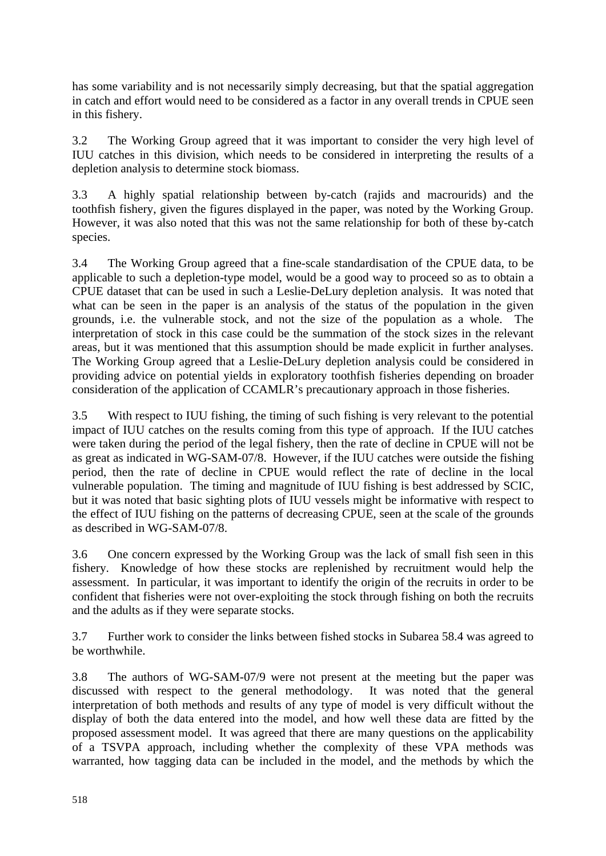has some variability and is not necessarily simply decreasing, but that the spatial aggregation in catch and effort would need to be considered as a factor in any overall trends in CPUE seen in this fishery.

3.2 The Working Group agreed that it was important to consider the very high level of IUU catches in this division, which needs to be considered in interpreting the results of a depletion analysis to determine stock biomass.

3.3 A highly spatial relationship between by-catch (rajids and macrourids) and the toothfish fishery, given the figures displayed in the paper, was noted by the Working Group. However, it was also noted that this was not the same relationship for both of these by-catch species.

3.4 The Working Group agreed that a fine-scale standardisation of the CPUE data, to be applicable to such a depletion-type model, would be a good way to proceed so as to obtain a CPUE dataset that can be used in such a Leslie-DeLury depletion analysis. It was noted that what can be seen in the paper is an analysis of the status of the population in the given grounds, i.e. the vulnerable stock, and not the size of the population as a whole. The interpretation of stock in this case could be the summation of the stock sizes in the relevant areas, but it was mentioned that this assumption should be made explicit in further analyses. The Working Group agreed that a Leslie-DeLury depletion analysis could be considered in providing advice on potential yields in exploratory toothfish fisheries depending on broader consideration of the application of CCAMLR's precautionary approach in those fisheries.

3.5 With respect to IUU fishing, the timing of such fishing is very relevant to the potential impact of IUU catches on the results coming from this type of approach. If the IUU catches were taken during the period of the legal fishery, then the rate of decline in CPUE will not be as great as indicated in WG-SAM-07/8. However, if the IUU catches were outside the fishing period, then the rate of decline in CPUE would reflect the rate of decline in the local vulnerable population. The timing and magnitude of IUU fishing is best addressed by SCIC, but it was noted that basic sighting plots of IUU vessels might be informative with respect to the effect of IUU fishing on the patterns of decreasing CPUE, seen at the scale of the grounds as described in WG-SAM-07/8.

3.6 One concern expressed by the Working Group was the lack of small fish seen in this fishery. Knowledge of how these stocks are replenished by recruitment would help the assessment. In particular, it was important to identify the origin of the recruits in order to be confident that fisheries were not over-exploiting the stock through fishing on both the recruits and the adults as if they were separate stocks.

3.7 Further work to consider the links between fished stocks in Subarea 58.4 was agreed to be worthwhile.

3.8 The authors of WG-SAM-07/9 were not present at the meeting but the paper was discussed with respect to the general methodology. It was noted that the general interpretation of both methods and results of any type of model is very difficult without the display of both the data entered into the model, and how well these data are fitted by the proposed assessment model. It was agreed that there are many questions on the applicability of a TSVPA approach, including whether the complexity of these VPA methods was warranted, how tagging data can be included in the model, and the methods by which the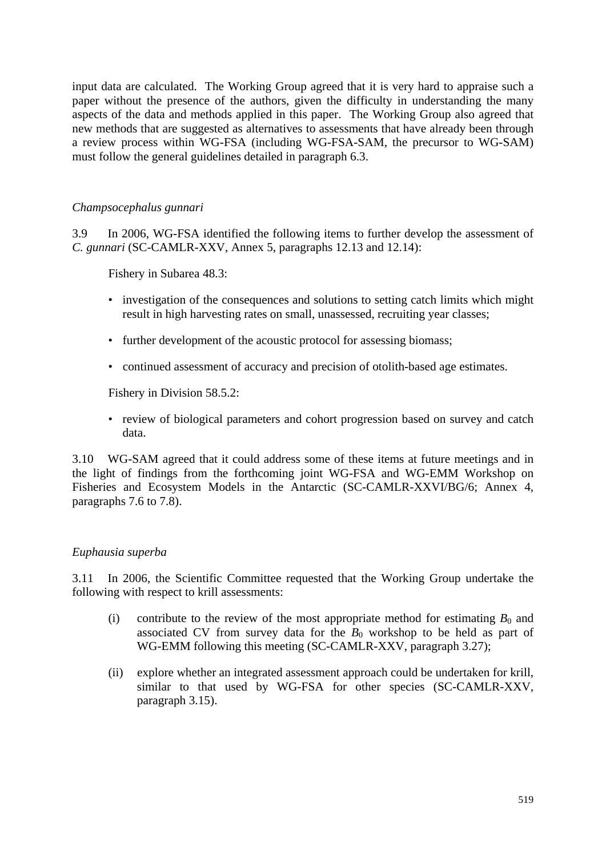input data are calculated. The Working Group agreed that it is very hard to appraise such a paper without the presence of the authors, given the difficulty in understanding the many aspects of the data and methods applied in this paper. The Working Group also agreed that new methods that are suggested as alternatives to assessments that have already been through a review process within WG-FSA (including WG-FSA-SAM, the precursor to WG-SAM) must follow the general guidelines detailed in paragraph 6.3.

#### *Champsocephalus gunnari*

3.9 In 2006, WG-FSA identified the following items to further develop the assessment of *C. gunnari* (SC-CAMLR-XXV, Annex 5, paragraphs 12.13 and 12.14):

Fishery in Subarea 48.3:

- investigation of the consequences and solutions to setting catch limits which might result in high harvesting rates on small, unassessed, recruiting year classes;
- further development of the acoustic protocol for assessing biomass;
- continued assessment of accuracy and precision of otolith-based age estimates.

Fishery in Division 58.5.2:

• review of biological parameters and cohort progression based on survey and catch data.

3.10 WG-SAM agreed that it could address some of these items at future meetings and in the light of findings from the forthcoming joint WG-FSA and WG-EMM Workshop on Fisheries and Ecosystem Models in the Antarctic (SC-CAMLR-XXVI/BG/6; Annex 4, paragraphs 7.6 to 7.8).

## *Euphausia superba*

3.11 In 2006, the Scientific Committee requested that the Working Group undertake the following with respect to krill assessments:

- (i) contribute to the review of the most appropriate method for estimating  $B_0$  and associated CV from survey data for the  $B_0$  workshop to be held as part of WG-EMM following this meeting (SC-CAMLR-XXV, paragraph 3.27);
- (ii) explore whether an integrated assessment approach could be undertaken for krill, similar to that used by WG-FSA for other species (SC-CAMLR-XXV, paragraph 3.15).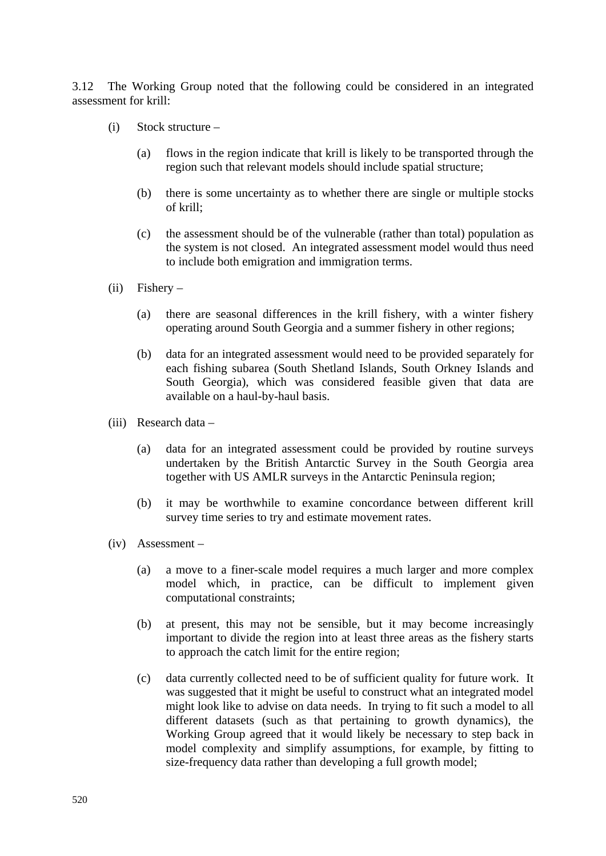3.12 The Working Group noted that the following could be considered in an integrated assessment for krill:

- (i) Stock structure
	- (a) flows in the region indicate that krill is likely to be transported through the region such that relevant models should include spatial structure;
	- (b) there is some uncertainty as to whether there are single or multiple stocks of krill;
	- (c) the assessment should be of the vulnerable (rather than total) population as the system is not closed. An integrated assessment model would thus need to include both emigration and immigration terms.
- $(ii)$  Fishery
	- (a) there are seasonal differences in the krill fishery, with a winter fishery operating around South Georgia and a summer fishery in other regions;
	- (b) data for an integrated assessment would need to be provided separately for each fishing subarea (South Shetland Islands, South Orkney Islands and South Georgia), which was considered feasible given that data are available on a haul-by-haul basis.
- (iii) Research data
	- (a) data for an integrated assessment could be provided by routine surveys undertaken by the British Antarctic Survey in the South Georgia area together with US AMLR surveys in the Antarctic Peninsula region;
	- (b) it may be worthwhile to examine concordance between different krill survey time series to try and estimate movement rates.
- (iv) Assessment
	- (a) a move to a finer-scale model requires a much larger and more complex model which, in practice, can be difficult to implement given computational constraints;
	- (b) at present, this may not be sensible, but it may become increasingly important to divide the region into at least three areas as the fishery starts to approach the catch limit for the entire region;
	- (c) data currently collected need to be of sufficient quality for future work. It was suggested that it might be useful to construct what an integrated model might look like to advise on data needs. In trying to fit such a model to all different datasets (such as that pertaining to growth dynamics), the Working Group agreed that it would likely be necessary to step back in model complexity and simplify assumptions, for example, by fitting to size-frequency data rather than developing a full growth model: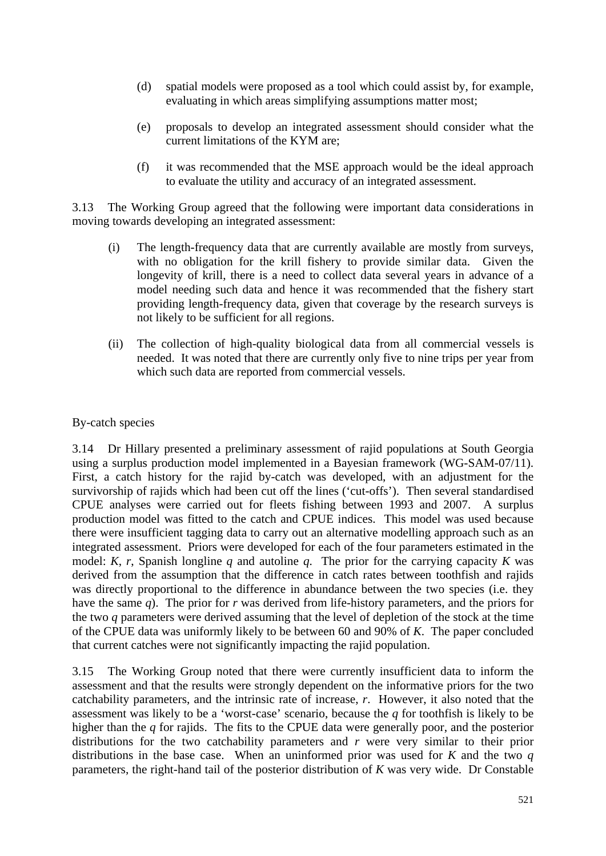- (d) spatial models were proposed as a tool which could assist by, for example, evaluating in which areas simplifying assumptions matter most;
- (e) proposals to develop an integrated assessment should consider what the current limitations of the KYM are;
- (f) it was recommended that the MSE approach would be the ideal approach to evaluate the utility and accuracy of an integrated assessment.

3.13 The Working Group agreed that the following were important data considerations in moving towards developing an integrated assessment:

- (i) The length-frequency data that are currently available are mostly from surveys, with no obligation for the krill fishery to provide similar data. Given the longevity of krill, there is a need to collect data several years in advance of a model needing such data and hence it was recommended that the fishery start providing length-frequency data, given that coverage by the research surveys is not likely to be sufficient for all regions.
- (ii) The collection of high-quality biological data from all commercial vessels is needed. It was noted that there are currently only five to nine trips per year from which such data are reported from commercial vessels.

## By-catch species

3.14 Dr Hillary presented a preliminary assessment of rajid populations at South Georgia using a surplus production model implemented in a Bayesian framework (WG-SAM-07/11). First, a catch history for the rajid by-catch was developed, with an adjustment for the survivorship of rajids which had been cut off the lines ('cut-offs'). Then several standardised CPUE analyses were carried out for fleets fishing between 1993 and 2007. A surplus production model was fitted to the catch and CPUE indices. This model was used because there were insufficient tagging data to carry out an alternative modelling approach such as an integrated assessment. Priors were developed for each of the four parameters estimated in the model: *K*, *r*, Spanish longline *q* and autoline *q*. The prior for the carrying capacity *K* was derived from the assumption that the difference in catch rates between toothfish and rajids was directly proportional to the difference in abundance between the two species (i.e. they have the same *q*). The prior for *r* was derived from life-history parameters, and the priors for the two *q* parameters were derived assuming that the level of depletion of the stock at the time of the CPUE data was uniformly likely to be between 60 and 90% of *K*. The paper concluded that current catches were not significantly impacting the rajid population.

3.15 The Working Group noted that there were currently insufficient data to inform the assessment and that the results were strongly dependent on the informative priors for the two catchability parameters, and the intrinsic rate of increase, *r*. However, it also noted that the assessment was likely to be a 'worst-case' scenario, because the *q* for toothfish is likely to be higher than the *q* for rajids. The fits to the CPUE data were generally poor, and the posterior distributions for the two catchability parameters and *r* were very similar to their prior distributions in the base case. When an uninformed prior was used for *K* and the two *q* parameters, the right-hand tail of the posterior distribution of *K* was very wide. Dr Constable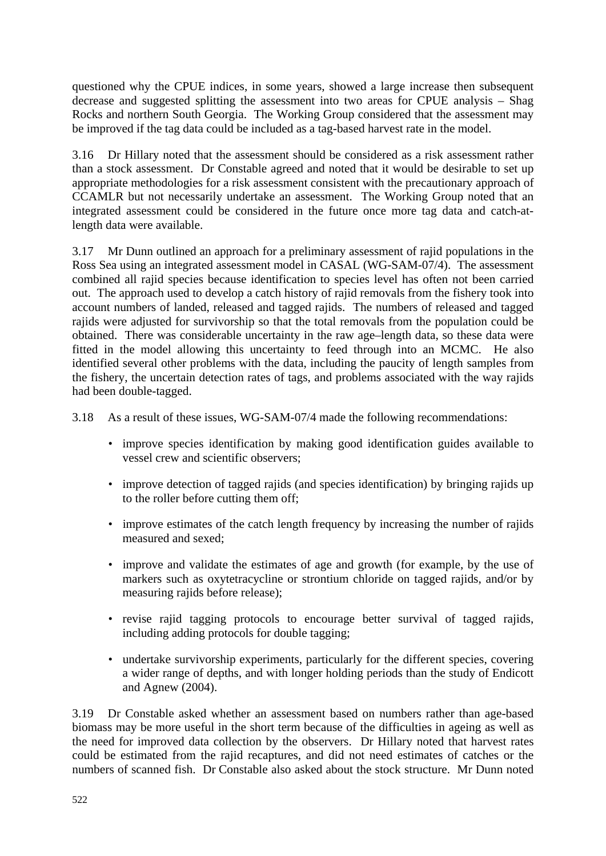questioned why the CPUE indices, in some years, showed a large increase then subsequent decrease and suggested splitting the assessment into two areas for CPUE analysis – Shag Rocks and northern South Georgia. The Working Group considered that the assessment may be improved if the tag data could be included as a tag-based harvest rate in the model.

3.16 Dr Hillary noted that the assessment should be considered as a risk assessment rather than a stock assessment. Dr Constable agreed and noted that it would be desirable to set up appropriate methodologies for a risk assessment consistent with the precautionary approach of CCAMLR but not necessarily undertake an assessment. The Working Group noted that an integrated assessment could be considered in the future once more tag data and catch-atlength data were available.

3.17 Mr Dunn outlined an approach for a preliminary assessment of rajid populations in the Ross Sea using an integrated assessment model in CASAL (WG-SAM-07/4). The assessment combined all rajid species because identification to species level has often not been carried out. The approach used to develop a catch history of rajid removals from the fishery took into account numbers of landed, released and tagged rajids. The numbers of released and tagged rajids were adjusted for survivorship so that the total removals from the population could be obtained. There was considerable uncertainty in the raw age–length data, so these data were fitted in the model allowing this uncertainty to feed through into an MCMC. He also identified several other problems with the data, including the paucity of length samples from the fishery, the uncertain detection rates of tags, and problems associated with the way rajids had been double-tagged.

3.18 As a result of these issues, WG-SAM-07/4 made the following recommendations:

- improve species identification by making good identification guides available to vessel crew and scientific observers;
- improve detection of tagged rajids (and species identification) by bringing rajids up to the roller before cutting them off;
- improve estimates of the catch length frequency by increasing the number of rajids measured and sexed;
- improve and validate the estimates of age and growth (for example, by the use of markers such as oxytetracycline or strontium chloride on tagged rajids, and/or by measuring rajids before release);
- revise rajid tagging protocols to encourage better survival of tagged rajids, including adding protocols for double tagging;
- undertake survivorship experiments, particularly for the different species, covering a wider range of depths, and with longer holding periods than the study of Endicott and Agnew (2004).

3.19 Dr Constable asked whether an assessment based on numbers rather than age-based biomass may be more useful in the short term because of the difficulties in ageing as well as the need for improved data collection by the observers. Dr Hillary noted that harvest rates could be estimated from the rajid recaptures, and did not need estimates of catches or the numbers of scanned fish. Dr Constable also asked about the stock structure. Mr Dunn noted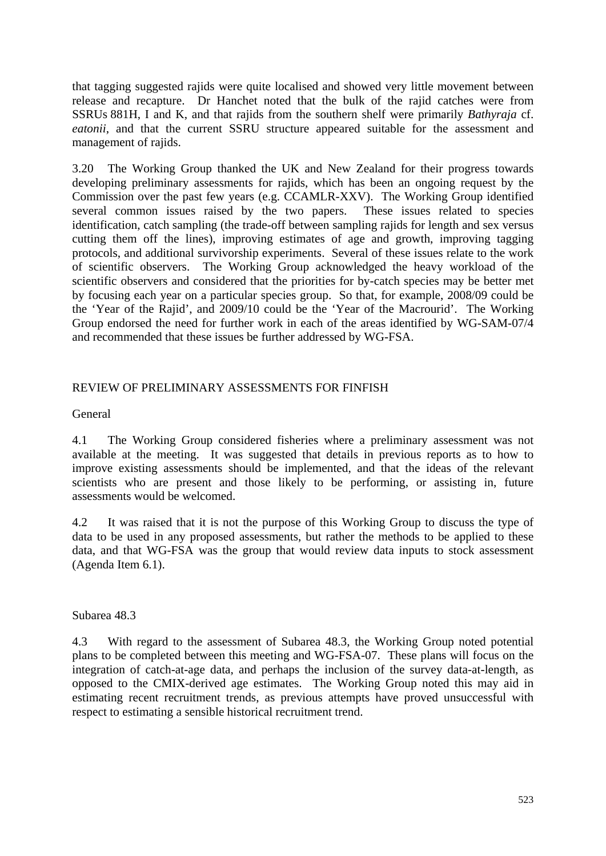that tagging suggested rajids were quite localised and showed very little movement between release and recapture. Dr Hanchet noted that the bulk of the rajid catches were from SSRUs 881H, I and K, and that rajids from the southern shelf were primarily *Bathyraja* cf. *eatonii*, and that the current SSRU structure appeared suitable for the assessment and management of rajids.

3.20 The Working Group thanked the UK and New Zealand for their progress towards developing preliminary assessments for rajids, which has been an ongoing request by the Commission over the past few years (e.g. CCAMLR-XXV). The Working Group identified several common issues raised by the two papers. These issues related to species identification, catch sampling (the trade-off between sampling rajids for length and sex versus cutting them off the lines), improving estimates of age and growth, improving tagging protocols, and additional survivorship experiments. Several of these issues relate to the work of scientific observers. The Working Group acknowledged the heavy workload of the scientific observers and considered that the priorities for by-catch species may be better met by focusing each year on a particular species group. So that, for example, 2008/09 could be the 'Year of the Rajid', and 2009/10 could be the 'Year of the Macrourid'. The Working Group endorsed the need for further work in each of the areas identified by WG-SAM-07/4 and recommended that these issues be further addressed by WG-FSA.

## REVIEW OF PRELIMINARY ASSESSMENTS FOR FINFISH

General

4.1 The Working Group considered fisheries where a preliminary assessment was not available at the meeting. It was suggested that details in previous reports as to how to improve existing assessments should be implemented, and that the ideas of the relevant scientists who are present and those likely to be performing, or assisting in, future assessments would be welcomed.

4.2 It was raised that it is not the purpose of this Working Group to discuss the type of data to be used in any proposed assessments, but rather the methods to be applied to these data, and that WG-FSA was the group that would review data inputs to stock assessment (Agenda Item 6.1).

Subarea 48.3

4.3 With regard to the assessment of Subarea 48.3, the Working Group noted potential plans to be completed between this meeting and WG-FSA-07. These plans will focus on the integration of catch-at-age data, and perhaps the inclusion of the survey data-at-length, as opposed to the CMIX-derived age estimates. The Working Group noted this may aid in estimating recent recruitment trends, as previous attempts have proved unsuccessful with respect to estimating a sensible historical recruitment trend.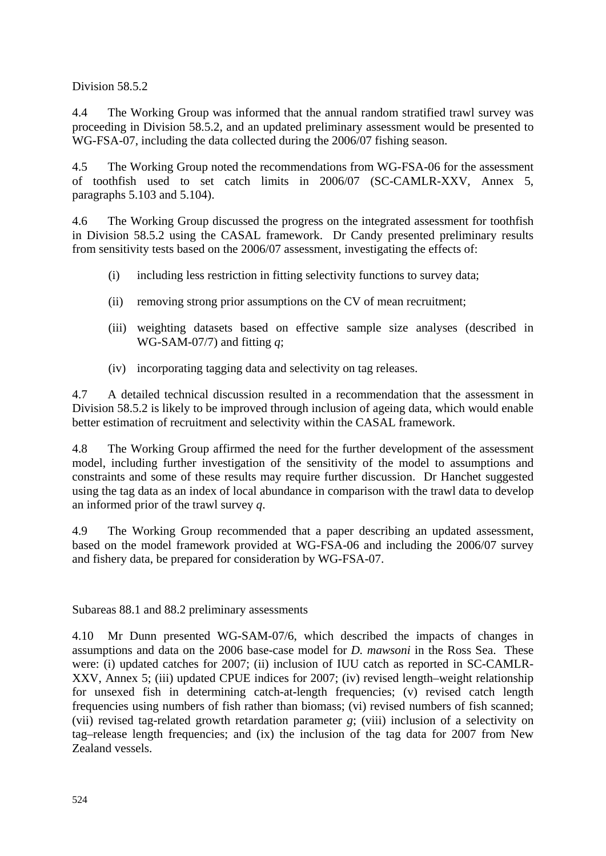Division 58.5.2

4.4 The Working Group was informed that the annual random stratified trawl survey was proceeding in Division 58.5.2, and an updated preliminary assessment would be presented to WG-FSA-07, including the data collected during the 2006/07 fishing season.

4.5 The Working Group noted the recommendations from WG-FSA-06 for the assessment of toothfish used to set catch limits in 2006/07 (SC-CAMLR-XXV, Annex 5, paragraphs 5.103 and 5.104).

4.6 The Working Group discussed the progress on the integrated assessment for toothfish in Division 58.5.2 using the CASAL framework. Dr Candy presented preliminary results from sensitivity tests based on the 2006/07 assessment, investigating the effects of:

- (i) including less restriction in fitting selectivity functions to survey data;
- (ii) removing strong prior assumptions on the CV of mean recruitment;
- (iii) weighting datasets based on effective sample size analyses (described in WG-SAM-07/7) and fitting *q*;
- (iv) incorporating tagging data and selectivity on tag releases.

4.7 A detailed technical discussion resulted in a recommendation that the assessment in Division 58.5.2 is likely to be improved through inclusion of ageing data, which would enable better estimation of recruitment and selectivity within the CASAL framework.

4.8 The Working Group affirmed the need for the further development of the assessment model, including further investigation of the sensitivity of the model to assumptions and constraints and some of these results may require further discussion. Dr Hanchet suggested using the tag data as an index of local abundance in comparison with the trawl data to develop an informed prior of the trawl survey *q*.

4.9 The Working Group recommended that a paper describing an updated assessment, based on the model framework provided at WG-FSA-06 and including the 2006/07 survey and fishery data, be prepared for consideration by WG-FSA-07.

Subareas 88.1 and 88.2 preliminary assessments

4.10 Mr Dunn presented WG-SAM-07/6, which described the impacts of changes in assumptions and data on the 2006 base-case model for *D. mawsoni* in the Ross Sea. These were: (i) updated catches for 2007; (ii) inclusion of IUU catch as reported in SC-CAMLR-XXV, Annex 5; (iii) updated CPUE indices for 2007; (iv) revised length–weight relationship for unsexed fish in determining catch-at-length frequencies; (v) revised catch length frequencies using numbers of fish rather than biomass; (vi) revised numbers of fish scanned; (vii) revised tag-related growth retardation parameter *g*; (viii) inclusion of a selectivity on tag–release length frequencies; and (ix) the inclusion of the tag data for 2007 from New Zealand vessels.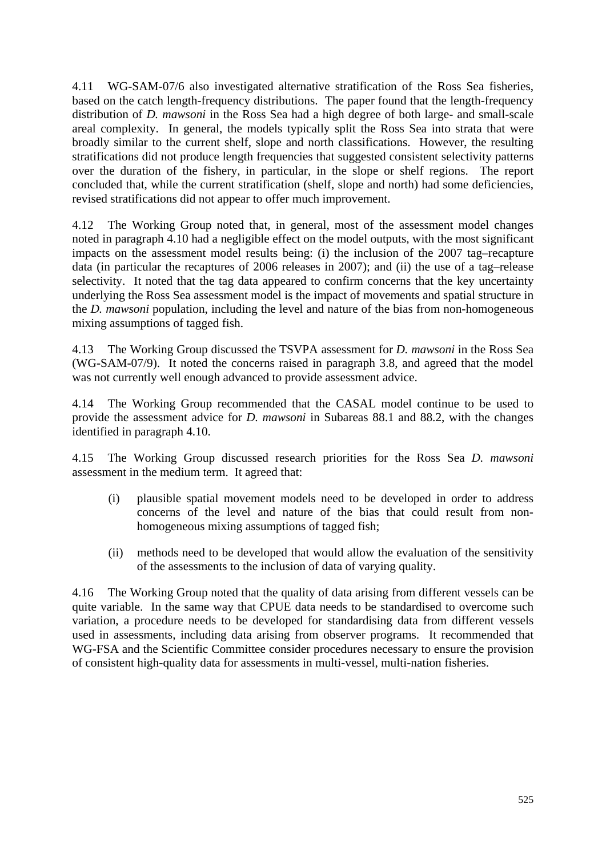4.11 WG-SAM-07/6 also investigated alternative stratification of the Ross Sea fisheries, based on the catch length-frequency distributions. The paper found that the length-frequency distribution of *D. mawsoni* in the Ross Sea had a high degree of both large- and small-scale areal complexity. In general, the models typically split the Ross Sea into strata that were broadly similar to the current shelf, slope and north classifications. However, the resulting stratifications did not produce length frequencies that suggested consistent selectivity patterns over the duration of the fishery, in particular, in the slope or shelf regions. The report concluded that, while the current stratification (shelf, slope and north) had some deficiencies, revised stratifications did not appear to offer much improvement.

4.12 The Working Group noted that, in general, most of the assessment model changes noted in paragraph 4.10 had a negligible effect on the model outputs, with the most significant impacts on the assessment model results being: (i) the inclusion of the 2007 tag–recapture data (in particular the recaptures of 2006 releases in 2007); and (ii) the use of a tag–release selectivity. It noted that the tag data appeared to confirm concerns that the key uncertainty underlying the Ross Sea assessment model is the impact of movements and spatial structure in the *D. mawsoni* population, including the level and nature of the bias from non-homogeneous mixing assumptions of tagged fish.

4.13 The Working Group discussed the TSVPA assessment for *D. mawsoni* in the Ross Sea (WG-SAM-07/9). It noted the concerns raised in paragraph 3.8, and agreed that the model was not currently well enough advanced to provide assessment advice.

4.14 The Working Group recommended that the CASAL model continue to be used to provide the assessment advice for *D. mawsoni* in Subareas 88.1 and 88.2, with the changes identified in paragraph 4.10.

4.15 The Working Group discussed research priorities for the Ross Sea *D. mawsoni*  assessment in the medium term. It agreed that:

- (i) plausible spatial movement models need to be developed in order to address concerns of the level and nature of the bias that could result from nonhomogeneous mixing assumptions of tagged fish;
- (ii) methods need to be developed that would allow the evaluation of the sensitivity of the assessments to the inclusion of data of varying quality.

4.16 The Working Group noted that the quality of data arising from different vessels can be quite variable. In the same way that CPUE data needs to be standardised to overcome such variation, a procedure needs to be developed for standardising data from different vessels used in assessments, including data arising from observer programs. It recommended that WG-FSA and the Scientific Committee consider procedures necessary to ensure the provision of consistent high-quality data for assessments in multi-vessel, multi-nation fisheries.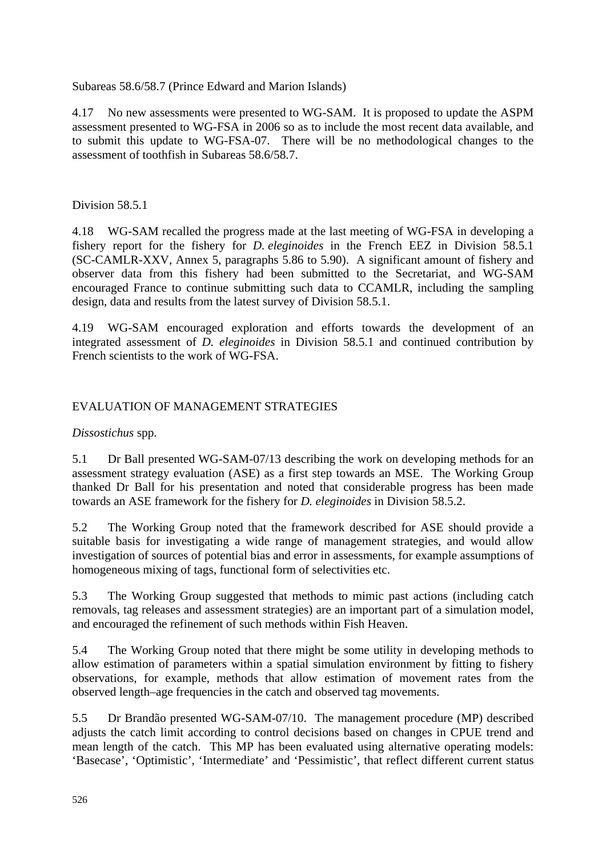Subareas 58.6/58.7 (Prince Edward and Marion Islands)

4.17 No new assessments were presented to WG-SAM. It is proposed to update the ASPM assessment presented to WG-FSA in 2006 so as to include the most recent data available, and to submit this update to WG-FSA-07. There will be no methodological changes to the assessment of toothfish in Subareas 58.6/58.7.

Division 58.5.1

4.18 WG-SAM recalled the progress made at the last meeting of WG-FSA in developing a fishery report for the fishery for *D. eleginoides* in the French EEZ in Division 58.5.1 (SC-CAMLR-XXV, Annex 5, paragraphs 5.86 to 5.90). A significant amount of fishery and observer data from this fishery had been submitted to the Secretariat, and WG-SAM encouraged France to continue submitting such data to CCAMLR, including the sampling design, data and results from the latest survey of Division 58.5.1.

4.19 WG-SAM encouraged exploration and efforts towards the development of an integrated assessment of *D. eleginoides* in Division 58.5.1 and continued contribution by French scientists to the work of WG-FSA.

## EVALUATION OF MANAGEMENT STRATEGIES

*Dissostichus* spp.

5.1 Dr Ball presented WG-SAM-07/13 describing the work on developing methods for an assessment strategy evaluation (ASE) as a first step towards an MSE. The Working Group thanked Dr Ball for his presentation and noted that considerable progress has been made towards an ASE framework for the fishery for *D. eleginoides* in Division 58.5.2.

5.2 The Working Group noted that the framework described for ASE should provide a suitable basis for investigating a wide range of management strategies, and would allow investigation of sources of potential bias and error in assessments, for example assumptions of homogeneous mixing of tags, functional form of selectivities etc.

5.3 The Working Group suggested that methods to mimic past actions (including catch removals, tag releases and assessment strategies) are an important part of a simulation model, and encouraged the refinement of such methods within Fish Heaven.

5.4 The Working Group noted that there might be some utility in developing methods to allow estimation of parameters within a spatial simulation environment by fitting to fishery observations, for example, methods that allow estimation of movement rates from the observed length–age frequencies in the catch and observed tag movements.

5.5 Dr Brandão presented WG-SAM-07/10. The management procedure (MP) described adjusts the catch limit according to control decisions based on changes in CPUE trend and mean length of the catch. This MP has been evaluated using alternative operating models: 'Basecase', 'Optimistic', 'Intermediate' and 'Pessimistic', that reflect different current status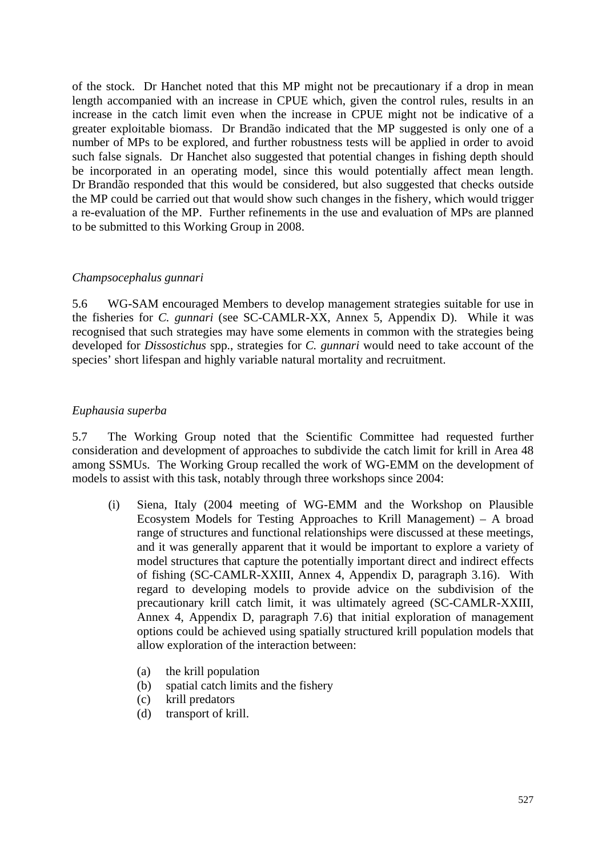of the stock. Dr Hanchet noted that this MP might not be precautionary if a drop in mean length accompanied with an increase in CPUE which, given the control rules, results in an increase in the catch limit even when the increase in CPUE might not be indicative of a greater exploitable biomass. Dr Brandão indicated that the MP suggested is only one of a number of MPs to be explored, and further robustness tests will be applied in order to avoid such false signals. Dr Hanchet also suggested that potential changes in fishing depth should be incorporated in an operating model, since this would potentially affect mean length. Dr Brandão responded that this would be considered, but also suggested that checks outside the MP could be carried out that would show such changes in the fishery, which would trigger a re-evaluation of the MP. Further refinements in the use and evaluation of MPs are planned to be submitted to this Working Group in 2008.

#### *Champsocephalus gunnari*

5.6 WG-SAM encouraged Members to develop management strategies suitable for use in the fisheries for *C. gunnari* (see SC-CAMLR-XX, Annex 5, Appendix D). While it was recognised that such strategies may have some elements in common with the strategies being developed for *Dissostichus* spp., strategies for *C. gunnari* would need to take account of the species' short lifespan and highly variable natural mortality and recruitment.

#### *Euphausia superba*

5.7 The Working Group noted that the Scientific Committee had requested further consideration and development of approaches to subdivide the catch limit for krill in Area 48 among SSMUs. The Working Group recalled the work of WG-EMM on the development of models to assist with this task, notably through three workshops since 2004:

- (i) Siena, Italy (2004 meeting of WG-EMM and the Workshop on Plausible Ecosystem Models for Testing Approaches to Krill Management) – A broad range of structures and functional relationships were discussed at these meetings, and it was generally apparent that it would be important to explore a variety of model structures that capture the potentially important direct and indirect effects of fishing (SC-CAMLR-XXIII, Annex 4, Appendix D, paragraph 3.16). With regard to developing models to provide advice on the subdivision of the precautionary krill catch limit, it was ultimately agreed (SC-CAMLR-XXIII, Annex 4, Appendix D, paragraph 7.6) that initial exploration of management options could be achieved using spatially structured krill population models that allow exploration of the interaction between:
	- (a) the krill population
	- (b) spatial catch limits and the fishery
	- (c) krill predators
	- (d) transport of krill.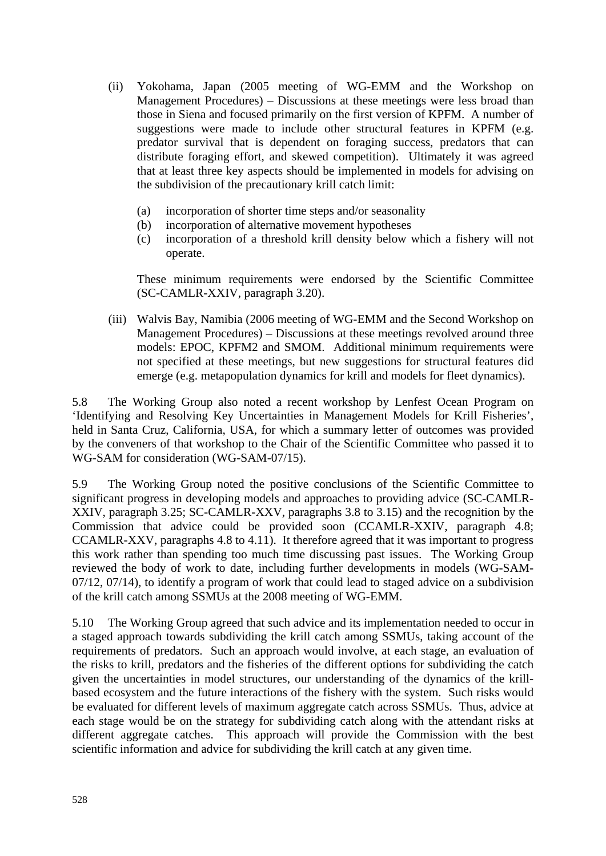- (ii) Yokohama, Japan (2005 meeting of WG-EMM and the Workshop on Management Procedures) – Discussions at these meetings were less broad than those in Siena and focused primarily on the first version of KPFM. A number of suggestions were made to include other structural features in KPFM (e.g. predator survival that is dependent on foraging success, predators that can distribute foraging effort, and skewed competition). Ultimately it was agreed that at least three key aspects should be implemented in models for advising on the subdivision of the precautionary krill catch limit:
	- (a) incorporation of shorter time steps and/or seasonality
	- (b) incorporation of alternative movement hypotheses
	- (c) incorporation of a threshold krill density below which a fishery will not operate.

 These minimum requirements were endorsed by the Scientific Committee (SC-CAMLR-XXIV, paragraph 3.20).

(iii) Walvis Bay, Namibia (2006 meeting of WG-EMM and the Second Workshop on Management Procedures) – Discussions at these meetings revolved around three models: EPOC, KPFM2 and SMOM. Additional minimum requirements were not specified at these meetings, but new suggestions for structural features did emerge (e.g. metapopulation dynamics for krill and models for fleet dynamics).

5.8 The Working Group also noted a recent workshop by Lenfest Ocean Program on 'Identifying and Resolving Key Uncertainties in Management Models for Krill Fisheries', held in Santa Cruz, California, USA, for which a summary letter of outcomes was provided by the conveners of that workshop to the Chair of the Scientific Committee who passed it to WG-SAM for consideration (WG-SAM-07/15).

5.9 The Working Group noted the positive conclusions of the Scientific Committee to significant progress in developing models and approaches to providing advice (SC-CAMLR-XXIV, paragraph 3.25; SC-CAMLR-XXV, paragraphs 3.8 to 3.15) and the recognition by the Commission that advice could be provided soon (CCAMLR-XXIV, paragraph 4.8; CCAMLR-XXV, paragraphs 4.8 to 4.11). It therefore agreed that it was important to progress this work rather than spending too much time discussing past issues. The Working Group reviewed the body of work to date, including further developments in models (WG-SAM-07/12, 07/14), to identify a program of work that could lead to staged advice on a subdivision of the krill catch among SSMUs at the 2008 meeting of WG-EMM.

5.10 The Working Group agreed that such advice and its implementation needed to occur in a staged approach towards subdividing the krill catch among SSMUs, taking account of the requirements of predators. Such an approach would involve, at each stage, an evaluation of the risks to krill, predators and the fisheries of the different options for subdividing the catch given the uncertainties in model structures, our understanding of the dynamics of the krillbased ecosystem and the future interactions of the fishery with the system. Such risks would be evaluated for different levels of maximum aggregate catch across SSMUs. Thus, advice at each stage would be on the strategy for subdividing catch along with the attendant risks at different aggregate catches. This approach will provide the Commission with the best scientific information and advice for subdividing the krill catch at any given time.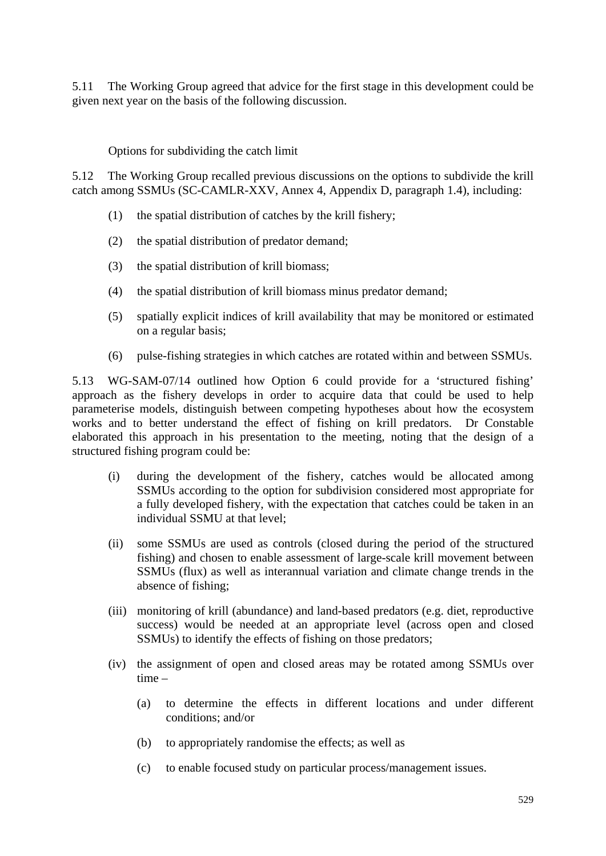5.11 The Working Group agreed that advice for the first stage in this development could be given next year on the basis of the following discussion.

Options for subdividing the catch limit

5.12 The Working Group recalled previous discussions on the options to subdivide the krill catch among SSMUs (SC-CAMLR-XXV, Annex 4, Appendix D, paragraph 1.4), including:

- (1) the spatial distribution of catches by the krill fishery;
- (2) the spatial distribution of predator demand;
- (3) the spatial distribution of krill biomass;
- (4) the spatial distribution of krill biomass minus predator demand;
- (5) spatially explicit indices of krill availability that may be monitored or estimated on a regular basis;
- (6) pulse-fishing strategies in which catches are rotated within and between SSMUs.

5.13 WG-SAM-07/14 outlined how Option 6 could provide for a 'structured fishing' approach as the fishery develops in order to acquire data that could be used to help parameterise models, distinguish between competing hypotheses about how the ecosystem works and to better understand the effect of fishing on krill predators. Dr Constable elaborated this approach in his presentation to the meeting, noting that the design of a structured fishing program could be:

- (i) during the development of the fishery, catches would be allocated among SSMUs according to the option for subdivision considered most appropriate for a fully developed fishery, with the expectation that catches could be taken in an individual SSMU at that level;
- (ii) some SSMUs are used as controls (closed during the period of the structured fishing) and chosen to enable assessment of large-scale krill movement between SSMUs (flux) as well as interannual variation and climate change trends in the absence of fishing;
- (iii) monitoring of krill (abundance) and land-based predators (e.g. diet, reproductive success) would be needed at an appropriate level (across open and closed SSMUs) to identify the effects of fishing on those predators;
- (iv) the assignment of open and closed areas may be rotated among SSMUs over time –
	- (a) to determine the effects in different locations and under different conditions; and/or
	- (b) to appropriately randomise the effects; as well as
	- (c) to enable focused study on particular process/management issues.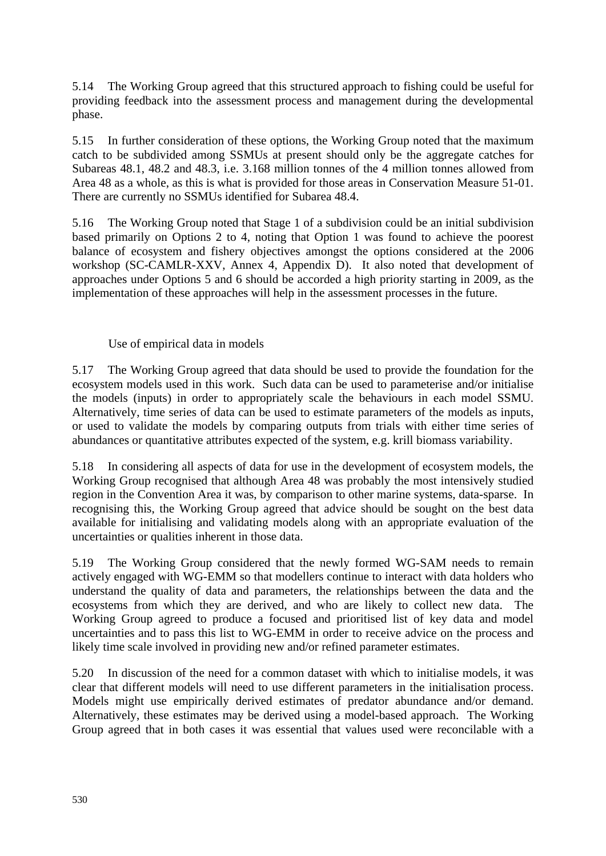5.14 The Working Group agreed that this structured approach to fishing could be useful for providing feedback into the assessment process and management during the developmental phase.

5.15 In further consideration of these options, the Working Group noted that the maximum catch to be subdivided among SSMUs at present should only be the aggregate catches for Subareas 48.1, 48.2 and 48.3, i.e. 3.168 million tonnes of the 4 million tonnes allowed from Area 48 as a whole, as this is what is provided for those areas in Conservation Measure 51-01. There are currently no SSMUs identified for Subarea 48.4.

5.16 The Working Group noted that Stage 1 of a subdivision could be an initial subdivision based primarily on Options 2 to 4, noting that Option 1 was found to achieve the poorest balance of ecosystem and fishery objectives amongst the options considered at the 2006 workshop (SC-CAMLR-XXV, Annex 4, Appendix D). It also noted that development of approaches under Options 5 and 6 should be accorded a high priority starting in 2009, as the implementation of these approaches will help in the assessment processes in the future.

## Use of empirical data in models

5.17 The Working Group agreed that data should be used to provide the foundation for the ecosystem models used in this work. Such data can be used to parameterise and/or initialise the models (inputs) in order to appropriately scale the behaviours in each model SSMU. Alternatively, time series of data can be used to estimate parameters of the models as inputs, or used to validate the models by comparing outputs from trials with either time series of abundances or quantitative attributes expected of the system, e.g. krill biomass variability.

5.18 In considering all aspects of data for use in the development of ecosystem models, the Working Group recognised that although Area 48 was probably the most intensively studied region in the Convention Area it was, by comparison to other marine systems, data-sparse. In recognising this, the Working Group agreed that advice should be sought on the best data available for initialising and validating models along with an appropriate evaluation of the uncertainties or qualities inherent in those data.

5.19 The Working Group considered that the newly formed WG-SAM needs to remain actively engaged with WG-EMM so that modellers continue to interact with data holders who understand the quality of data and parameters, the relationships between the data and the ecosystems from which they are derived, and who are likely to collect new data. The Working Group agreed to produce a focused and prioritised list of key data and model uncertainties and to pass this list to WG-EMM in order to receive advice on the process and likely time scale involved in providing new and/or refined parameter estimates.

5.20 In discussion of the need for a common dataset with which to initialise models, it was clear that different models will need to use different parameters in the initialisation process. Models might use empirically derived estimates of predator abundance and/or demand. Alternatively, these estimates may be derived using a model-based approach. The Working Group agreed that in both cases it was essential that values used were reconcilable with a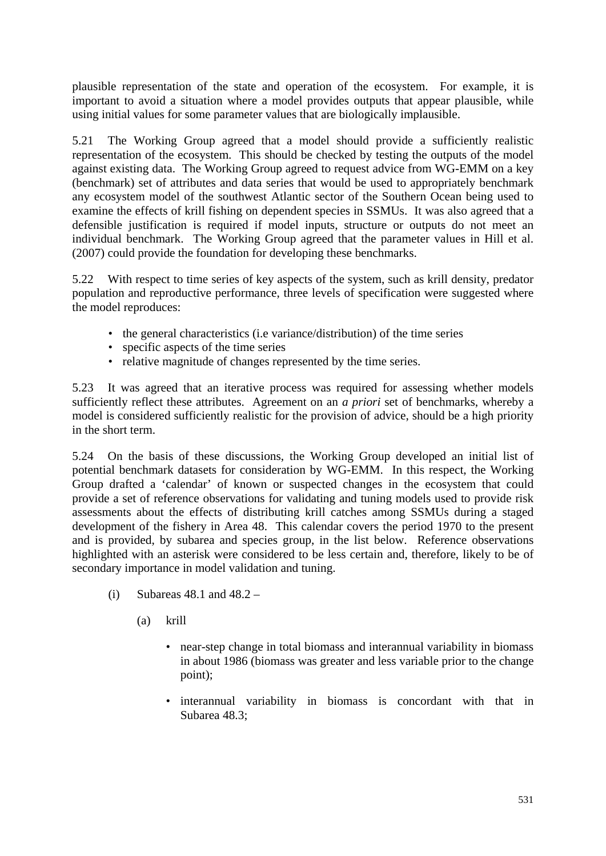plausible representation of the state and operation of the ecosystem. For example, it is important to avoid a situation where a model provides outputs that appear plausible, while using initial values for some parameter values that are biologically implausible.

5.21 The Working Group agreed that a model should provide a sufficiently realistic representation of the ecosystem. This should be checked by testing the outputs of the model against existing data. The Working Group agreed to request advice from WG-EMM on a key (benchmark) set of attributes and data series that would be used to appropriately benchmark any ecosystem model of the southwest Atlantic sector of the Southern Ocean being used to examine the effects of krill fishing on dependent species in SSMUs. It was also agreed that a defensible justification is required if model inputs, structure or outputs do not meet an individual benchmark. The Working Group agreed that the parameter values in Hill et al. (2007) could provide the foundation for developing these benchmarks.

5.22 With respect to time series of key aspects of the system, such as krill density, predator population and reproductive performance, three levels of specification were suggested where the model reproduces:

- the general characteristics (i.e variance/distribution) of the time series
- specific aspects of the time series
- relative magnitude of changes represented by the time series.

5.23 It was agreed that an iterative process was required for assessing whether models sufficiently reflect these attributes. Agreement on an *a priori* set of benchmarks, whereby a model is considered sufficiently realistic for the provision of advice, should be a high priority in the short term.

5.24 On the basis of these discussions, the Working Group developed an initial list of potential benchmark datasets for consideration by WG-EMM. In this respect, the Working Group drafted a 'calendar' of known or suspected changes in the ecosystem that could provide a set of reference observations for validating and tuning models used to provide risk assessments about the effects of distributing krill catches among SSMUs during a staged development of the fishery in Area 48. This calendar covers the period 1970 to the present and is provided, by subarea and species group, in the list below. Reference observations highlighted with an asterisk were considered to be less certain and, therefore, likely to be of secondary importance in model validation and tuning.

- (i) Subareas  $48.1$  and  $48.2 -$ 
	- (a) krill
		- near-step change in total biomass and interannual variability in biomass in about 1986 (biomass was greater and less variable prior to the change point);
		- interannual variability in biomass is concordant with that in Subarea 48.3;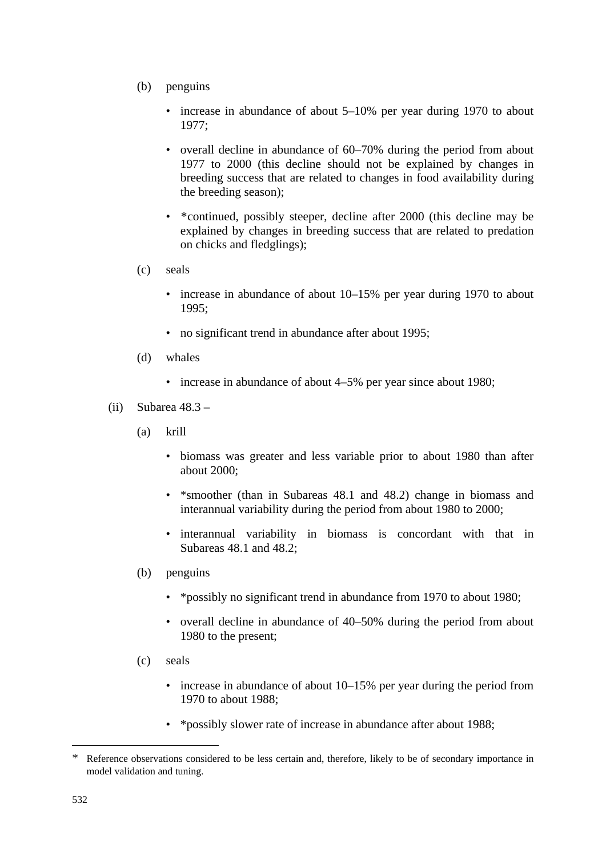- (b) penguins
	- increase in abundance of about 5–10% per year during 1970 to about 1977;
	- overall decline in abundance of 60–70% during the period from about 1977 to 2000 (this decline should not be explained by changes in breeding success that are related to changes in food availability during the breeding season);
	- [\\*](#page-20-0)continued, possibly steeper, decline after 2000 (this decline may be explained by changes in breeding success that are related to predation on chicks and fledglings);
- (c) seals
	- increase in abundance of about 10–15% per year during 1970 to about 1995;
	- no significant trend in abundance after about 1995;
- (d) whales
	- increase in abundance of about 4–5% per year since about 1980;
- (ii) Subarea  $48.3 -$ 
	- (a) krill
		- biomass was greater and less variable prior to about 1980 than after about 2000;
		- \*smoother (than in Subareas 48.1 and 48.2) change in biomass and interannual variability during the period from about 1980 to 2000;
		- interannual variability in biomass is concordant with that in Subareas 48.1 and 48.2;
	- (b) penguins
		- \*possibly no significant trend in abundance from 1970 to about 1980;
		- overall decline in abundance of 40–50% during the period from about 1980 to the present;
	- (c) seals
		- increase in abundance of about 10–15% per year during the period from 1970 to about 1988;
		- \*possibly slower rate of increase in abundance after about 1988;

1

<span id="page-20-0"></span><sup>\*</sup> Reference observations considered to be less certain and, therefore, likely to be of secondary importance in model validation and tuning.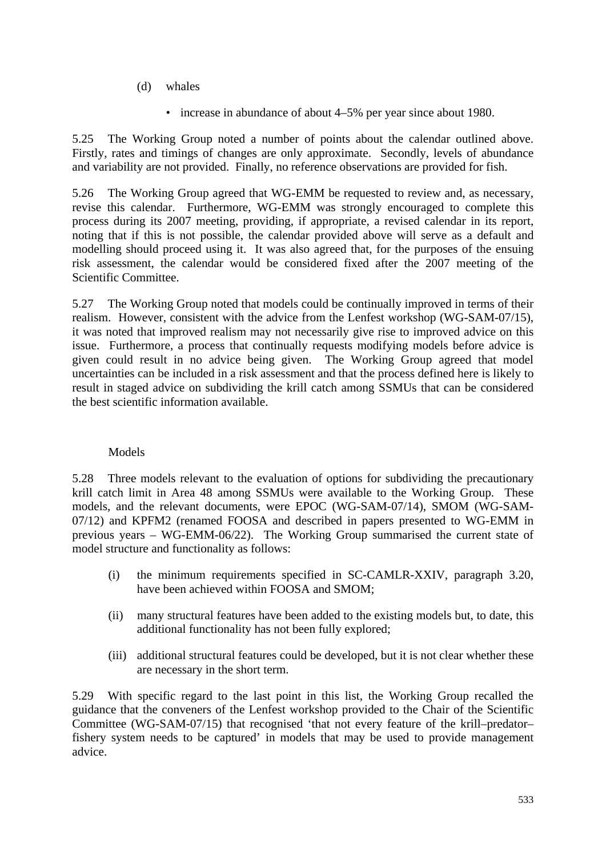- (d) whales
	- increase in abundance of about 4–5% per year since about 1980.

5.25 The Working Group noted a number of points about the calendar outlined above. Firstly, rates and timings of changes are only approximate. Secondly, levels of abundance and variability are not provided. Finally, no reference observations are provided for fish.

5.26 The Working Group agreed that WG-EMM be requested to review and, as necessary, revise this calendar. Furthermore, WG-EMM was strongly encouraged to complete this process during its 2007 meeting, providing, if appropriate, a revised calendar in its report, noting that if this is not possible, the calendar provided above will serve as a default and modelling should proceed using it. It was also agreed that, for the purposes of the ensuing risk assessment, the calendar would be considered fixed after the 2007 meeting of the Scientific Committee.

5.27 The Working Group noted that models could be continually improved in terms of their realism. However, consistent with the advice from the Lenfest workshop (WG-SAM-07/15), it was noted that improved realism may not necessarily give rise to improved advice on this issue. Furthermore, a process that continually requests modifying models before advice is given could result in no advice being given. The Working Group agreed that model uncertainties can be included in a risk assessment and that the process defined here is likely to result in staged advice on subdividing the krill catch among SSMUs that can be considered the best scientific information available.

## Models

5.28 Three models relevant to the evaluation of options for subdividing the precautionary krill catch limit in Area 48 among SSMUs were available to the Working Group. These models, and the relevant documents, were EPOC (WG-SAM-07/14), SMOM (WG-SAM-07/12) and KPFM2 (renamed FOOSA and described in papers presented to WG-EMM in previous years – WG-EMM-06/22). The Working Group summarised the current state of model structure and functionality as follows:

- (i) the minimum requirements specified in SC-CAMLR-XXIV, paragraph 3.20, have been achieved within FOOSA and SMOM;
- (ii) many structural features have been added to the existing models but, to date, this additional functionality has not been fully explored;
- (iii) additional structural features could be developed, but it is not clear whether these are necessary in the short term.

5.29 With specific regard to the last point in this list, the Working Group recalled the guidance that the conveners of the Lenfest workshop provided to the Chair of the Scientific Committee (WG-SAM-07/15) that recognised 'that not every feature of the krill–predator– fishery system needs to be captured' in models that may be used to provide management advice.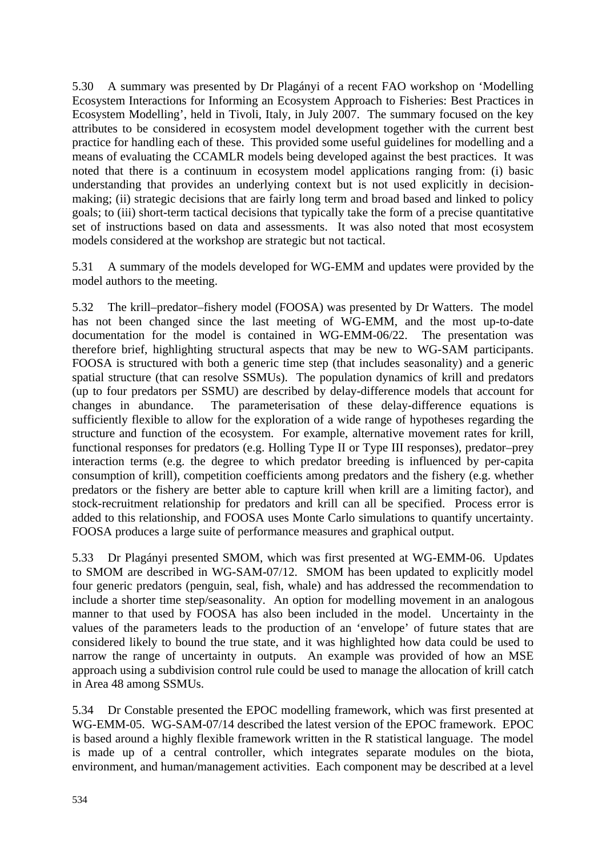5.30 A summary was presented by Dr Plagányi of a recent FAO workshop on 'Modelling Ecosystem Interactions for Informing an Ecosystem Approach to Fisheries: Best Practices in Ecosystem Modelling', held in Tivoli, Italy, in July 2007. The summary focused on the key attributes to be considered in ecosystem model development together with the current best practice for handling each of these. This provided some useful guidelines for modelling and a means of evaluating the CCAMLR models being developed against the best practices. It was noted that there is a continuum in ecosystem model applications ranging from: (i) basic understanding that provides an underlying context but is not used explicitly in decisionmaking; (ii) strategic decisions that are fairly long term and broad based and linked to policy goals; to (iii) short-term tactical decisions that typically take the form of a precise quantitative set of instructions based on data and assessments. It was also noted that most ecosystem models considered at the workshop are strategic but not tactical.

5.31 A summary of the models developed for WG-EMM and updates were provided by the model authors to the meeting.

5.32 The krill–predator–fishery model (FOOSA) was presented by Dr Watters. The model has not been changed since the last meeting of WG-EMM, and the most up-to-date documentation for the model is contained in WG-EMM-06/22. The presentation was therefore brief, highlighting structural aspects that may be new to WG-SAM participants. FOOSA is structured with both a generic time step (that includes seasonality) and a generic spatial structure (that can resolve SSMUs). The population dynamics of krill and predators (up to four predators per SSMU) are described by delay-difference models that account for changes in abundance. The parameterisation of these delay-difference equations is sufficiently flexible to allow for the exploration of a wide range of hypotheses regarding the structure and function of the ecosystem. For example, alternative movement rates for krill, functional responses for predators (e.g. Holling Type II or Type III responses), predator–prey interaction terms (e.g. the degree to which predator breeding is influenced by per-capita consumption of krill), competition coefficients among predators and the fishery (e.g. whether predators or the fishery are better able to capture krill when krill are a limiting factor), and stock-recruitment relationship for predators and krill can all be specified. Process error is added to this relationship, and FOOSA uses Monte Carlo simulations to quantify uncertainty. FOOSA produces a large suite of performance measures and graphical output.

5.33 Dr Plagányi presented SMOM, which was first presented at WG-EMM-06. Updates to SMOM are described in WG-SAM-07/12. SMOM has been updated to explicitly model four generic predators (penguin, seal, fish, whale) and has addressed the recommendation to include a shorter time step/seasonality. An option for modelling movement in an analogous manner to that used by FOOSA has also been included in the model. Uncertainty in the values of the parameters leads to the production of an 'envelope' of future states that are considered likely to bound the true state, and it was highlighted how data could be used to narrow the range of uncertainty in outputs. An example was provided of how an MSE approach using a subdivision control rule could be used to manage the allocation of krill catch in Area 48 among SSMUs.

5.34 Dr Constable presented the EPOC modelling framework, which was first presented at WG-EMM-05. WG-SAM-07/14 described the latest version of the EPOC framework. EPOC is based around a highly flexible framework written in the R statistical language. The model is made up of a central controller, which integrates separate modules on the biota, environment, and human/management activities. Each component may be described at a level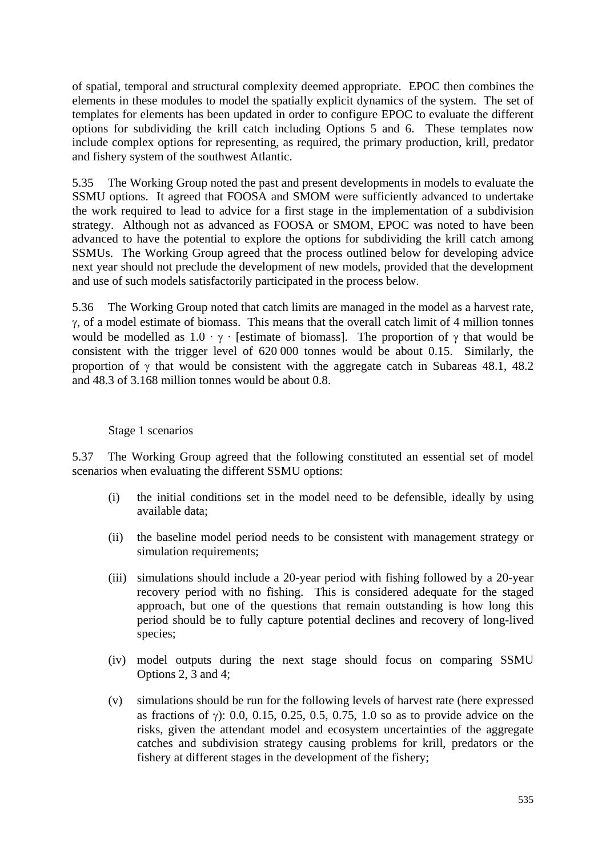of spatial, temporal and structural complexity deemed appropriate. EPOC then combines the elements in these modules to model the spatially explicit dynamics of the system. The set of templates for elements has been updated in order to configure EPOC to evaluate the different options for subdividing the krill catch including Options 5 and 6. These templates now include complex options for representing, as required, the primary production, krill, predator and fishery system of the southwest Atlantic.

5.35 The Working Group noted the past and present developments in models to evaluate the SSMU options. It agreed that FOOSA and SMOM were sufficiently advanced to undertake the work required to lead to advice for a first stage in the implementation of a subdivision strategy. Although not as advanced as FOOSA or SMOM, EPOC was noted to have been advanced to have the potential to explore the options for subdividing the krill catch among SSMUs. The Working Group agreed that the process outlined below for developing advice next year should not preclude the development of new models, provided that the development and use of such models satisfactorily participated in the process below.

5.36 The Working Group noted that catch limits are managed in the model as a harvest rate, γ, of a model estimate of biomass. This means that the overall catch limit of 4 million tonnes would be modelled as  $1.0 \cdot \gamma$  · [estimate of biomass]. The proportion of  $\gamma$  that would be consistent with the trigger level of 620 000 tonnes would be about 0.15. Similarly, the proportion of  $\gamma$  that would be consistent with the aggregate catch in Subareas 48.1, 48.2 and 48.3 of 3.168 million tonnes would be about 0.8.

## Stage 1 scenarios

5.37 The Working Group agreed that the following constituted an essential set of model scenarios when evaluating the different SSMU options:

- (i) the initial conditions set in the model need to be defensible, ideally by using available data;
- (ii) the baseline model period needs to be consistent with management strategy or simulation requirements;
- (iii) simulations should include a 20-year period with fishing followed by a 20-year recovery period with no fishing. This is considered adequate for the staged approach, but one of the questions that remain outstanding is how long this period should be to fully capture potential declines and recovery of long-lived species;
- (iv) model outputs during the next stage should focus on comparing SSMU Options 2, 3 and 4;
- (v) simulations should be run for the following levels of harvest rate (here expressed as fractions of γ): 0.0, 0.15, 0.25, 0.5, 0.75, 1.0 so as to provide advice on the risks, given the attendant model and ecosystem uncertainties of the aggregate catches and subdivision strategy causing problems for krill, predators or the fishery at different stages in the development of the fishery;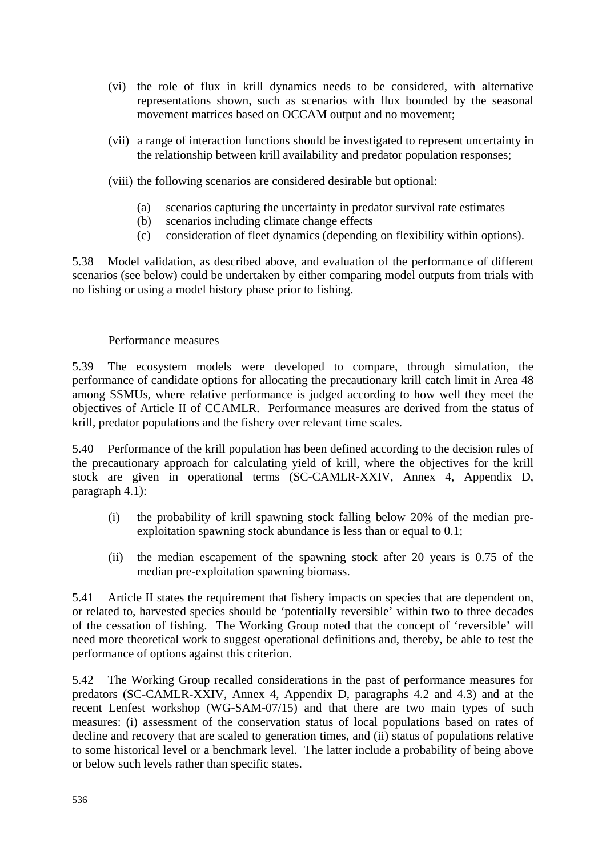- (vi) the role of flux in krill dynamics needs to be considered, with alternative representations shown, such as scenarios with flux bounded by the seasonal movement matrices based on OCCAM output and no movement;
- (vii) a range of interaction functions should be investigated to represent uncertainty in the relationship between krill availability and predator population responses;
- (viii) the following scenarios are considered desirable but optional:
	- (a) scenarios capturing the uncertainty in predator survival rate estimates
	- (b) scenarios including climate change effects
	- (c) consideration of fleet dynamics (depending on flexibility within options).

5.38 Model validation, as described above, and evaluation of the performance of different scenarios (see below) could be undertaken by either comparing model outputs from trials with no fishing or using a model history phase prior to fishing.

#### Performance measures

5.39 The ecosystem models were developed to compare, through simulation, the performance of candidate options for allocating the precautionary krill catch limit in Area 48 among SSMUs, where relative performance is judged according to how well they meet the objectives of Article II of CCAMLR. Performance measures are derived from the status of krill, predator populations and the fishery over relevant time scales.

5.40 Performance of the krill population has been defined according to the decision rules of the precautionary approach for calculating yield of krill, where the objectives for the krill stock are given in operational terms (SC-CAMLR-XXIV, Annex 4, Appendix D, paragraph 4.1):

- (i) the probability of krill spawning stock falling below 20% of the median preexploitation spawning stock abundance is less than or equal to 0.1;
- (ii) the median escapement of the spawning stock after 20 years is 0.75 of the median pre-exploitation spawning biomass.

5.41 Article II states the requirement that fishery impacts on species that are dependent on, or related to, harvested species should be 'potentially reversible' within two to three decades of the cessation of fishing. The Working Group noted that the concept of 'reversible' will need more theoretical work to suggest operational definitions and, thereby, be able to test the performance of options against this criterion.

5.42 The Working Group recalled considerations in the past of performance measures for predators (SC-CAMLR-XXIV, Annex 4, Appendix D, paragraphs 4.2 and 4.3) and at the recent Lenfest workshop (WG-SAM-07/15) and that there are two main types of such measures: (i) assessment of the conservation status of local populations based on rates of decline and recovery that are scaled to generation times, and (ii) status of populations relative to some historical level or a benchmark level. The latter include a probability of being above or below such levels rather than specific states.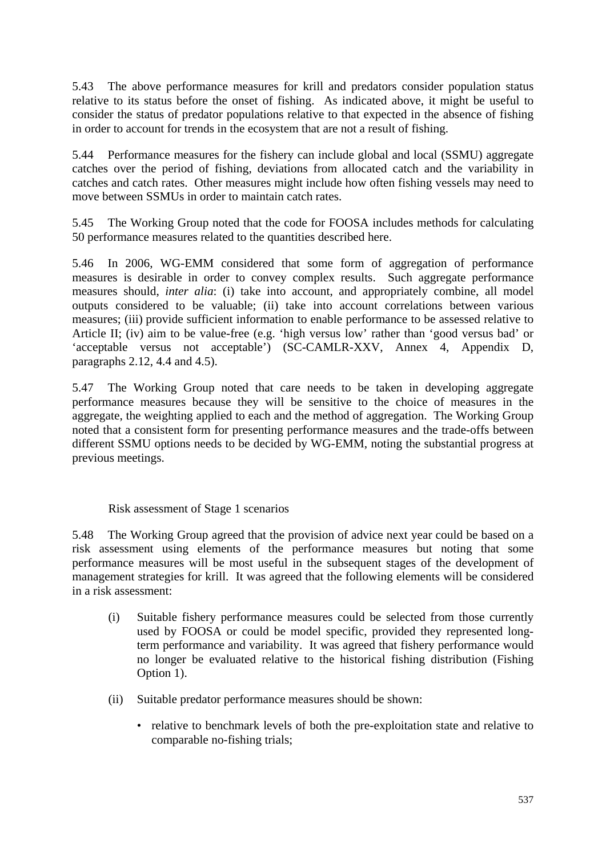5.43 The above performance measures for krill and predators consider population status relative to its status before the onset of fishing. As indicated above, it might be useful to consider the status of predator populations relative to that expected in the absence of fishing in order to account for trends in the ecosystem that are not a result of fishing.

5.44 Performance measures for the fishery can include global and local (SSMU) aggregate catches over the period of fishing, deviations from allocated catch and the variability in catches and catch rates. Other measures might include how often fishing vessels may need to move between SSMUs in order to maintain catch rates.

5.45 The Working Group noted that the code for FOOSA includes methods for calculating 50 performance measures related to the quantities described here.

5.46 In 2006, WG-EMM considered that some form of aggregation of performance measures is desirable in order to convey complex results. Such aggregate performance measures should, *inter alia*: (i) take into account, and appropriately combine, all model outputs considered to be valuable; (ii) take into account correlations between various measures; (iii) provide sufficient information to enable performance to be assessed relative to Article II; (iv) aim to be value-free (e.g. 'high versus low' rather than 'good versus bad' or 'acceptable versus not acceptable') (SC-CAMLR-XXV, Annex 4, Appendix D, paragraphs 2.12, 4.4 and 4.5).

5.47 The Working Group noted that care needs to be taken in developing aggregate performance measures because they will be sensitive to the choice of measures in the aggregate, the weighting applied to each and the method of aggregation. The Working Group noted that a consistent form for presenting performance measures and the trade-offs between different SSMU options needs to be decided by WG-EMM, noting the substantial progress at previous meetings.

Risk assessment of Stage 1 scenarios

5.48 The Working Group agreed that the provision of advice next year could be based on a risk assessment using elements of the performance measures but noting that some performance measures will be most useful in the subsequent stages of the development of management strategies for krill. It was agreed that the following elements will be considered in a risk assessment:

- (i) Suitable fishery performance measures could be selected from those currently used by FOOSA or could be model specific, provided they represented longterm performance and variability. It was agreed that fishery performance would no longer be evaluated relative to the historical fishing distribution (Fishing Option 1).
- (ii) Suitable predator performance measures should be shown:
	- relative to benchmark levels of both the pre-exploitation state and relative to comparable no-fishing trials;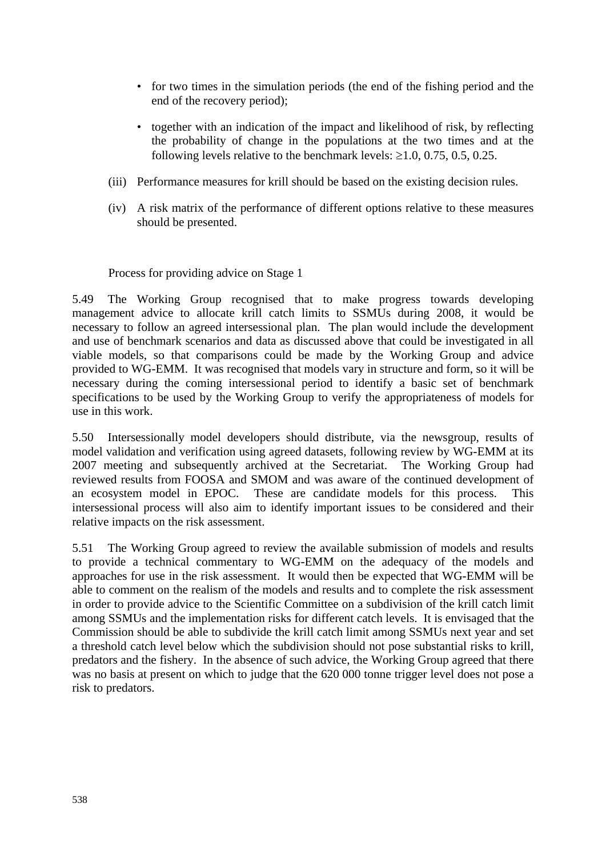- for two times in the simulation periods (the end of the fishing period and the end of the recovery period);
- together with an indication of the impact and likelihood of risk, by reflecting the probability of change in the populations at the two times and at the following levels relative to the benchmark levels:  $\geq 1.0$ , 0.75, 0.5, 0.25.
- (iii) Performance measures for krill should be based on the existing decision rules.
- (iv) A risk matrix of the performance of different options relative to these measures should be presented.

Process for providing advice on Stage 1

5.49 The Working Group recognised that to make progress towards developing management advice to allocate krill catch limits to SSMUs during 2008, it would be necessary to follow an agreed intersessional plan. The plan would include the development and use of benchmark scenarios and data as discussed above that could be investigated in all viable models, so that comparisons could be made by the Working Group and advice provided to WG-EMM. It was recognised that models vary in structure and form, so it will be necessary during the coming intersessional period to identify a basic set of benchmark specifications to be used by the Working Group to verify the appropriateness of models for use in this work.

5.50 Intersessionally model developers should distribute, via the newsgroup, results of model validation and verification using agreed datasets, following review by WG-EMM at its 2007 meeting and subsequently archived at the Secretariat. The Working Group had reviewed results from FOOSA and SMOM and was aware of the continued development of an ecosystem model in EPOC. These are candidate models for this process. intersessional process will also aim to identify important issues to be considered and their relative impacts on the risk assessment.

5.51 The Working Group agreed to review the available submission of models and results to provide a technical commentary to WG-EMM on the adequacy of the models and approaches for use in the risk assessment. It would then be expected that WG-EMM will be able to comment on the realism of the models and results and to complete the risk assessment in order to provide advice to the Scientific Committee on a subdivision of the krill catch limit among SSMUs and the implementation risks for different catch levels. It is envisaged that the Commission should be able to subdivide the krill catch limit among SSMUs next year and set a threshold catch level below which the subdivision should not pose substantial risks to krill, predators and the fishery. In the absence of such advice, the Working Group agreed that there was no basis at present on which to judge that the 620 000 tonne trigger level does not pose a risk to predators.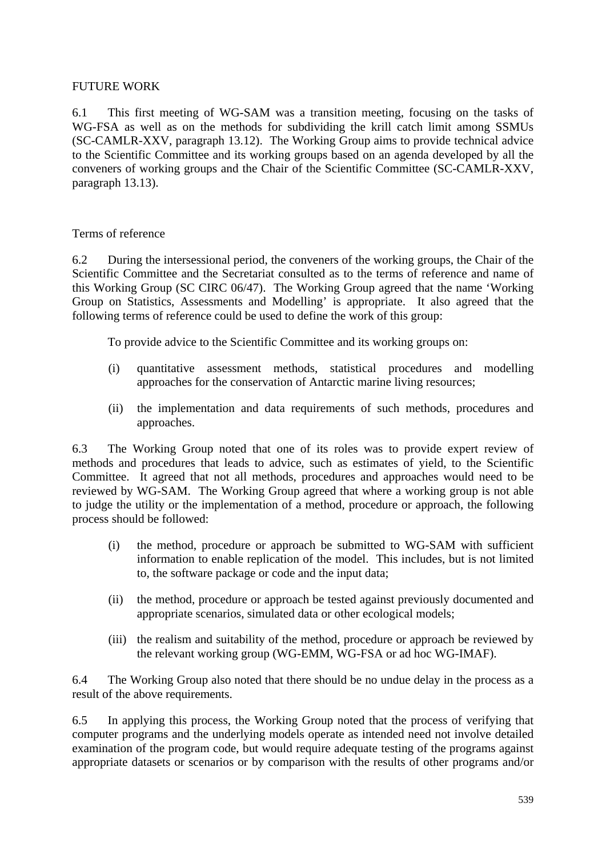## FUTURE WORK

6.1 This first meeting of WG-SAM was a transition meeting, focusing on the tasks of WG-FSA as well as on the methods for subdividing the krill catch limit among SSMUs (SC-CAMLR-XXV, paragraph 13.12). The Working Group aims to provide technical advice to the Scientific Committee and its working groups based on an agenda developed by all the conveners of working groups and the Chair of the Scientific Committee (SC-CAMLR-XXV, paragraph 13.13).

#### Terms of reference

6.2 During the intersessional period, the conveners of the working groups, the Chair of the Scientific Committee and the Secretariat consulted as to the terms of reference and name of this Working Group (SC CIRC 06/47). The Working Group agreed that the name 'Working Group on Statistics, Assessments and Modelling' is appropriate. It also agreed that the following terms of reference could be used to define the work of this group:

To provide advice to the Scientific Committee and its working groups on:

- (i) quantitative assessment methods, statistical procedures and modelling approaches for the conservation of Antarctic marine living resources;
- (ii) the implementation and data requirements of such methods, procedures and approaches.

6.3 The Working Group noted that one of its roles was to provide expert review of methods and procedures that leads to advice, such as estimates of yield, to the Scientific Committee. It agreed that not all methods, procedures and approaches would need to be reviewed by WG-SAM. The Working Group agreed that where a working group is not able to judge the utility or the implementation of a method, procedure or approach, the following process should be followed:

- (i) the method, procedure or approach be submitted to WG-SAM with sufficient information to enable replication of the model. This includes, but is not limited to, the software package or code and the input data;
- (ii) the method, procedure or approach be tested against previously documented and appropriate scenarios, simulated data or other ecological models;
- (iii) the realism and suitability of the method, procedure or approach be reviewed by the relevant working group (WG-EMM, WG-FSA or ad hoc WG-IMAF).

6.4 The Working Group also noted that there should be no undue delay in the process as a result of the above requirements.

6.5 In applying this process, the Working Group noted that the process of verifying that computer programs and the underlying models operate as intended need not involve detailed examination of the program code, but would require adequate testing of the programs against appropriate datasets or scenarios or by comparison with the results of other programs and/or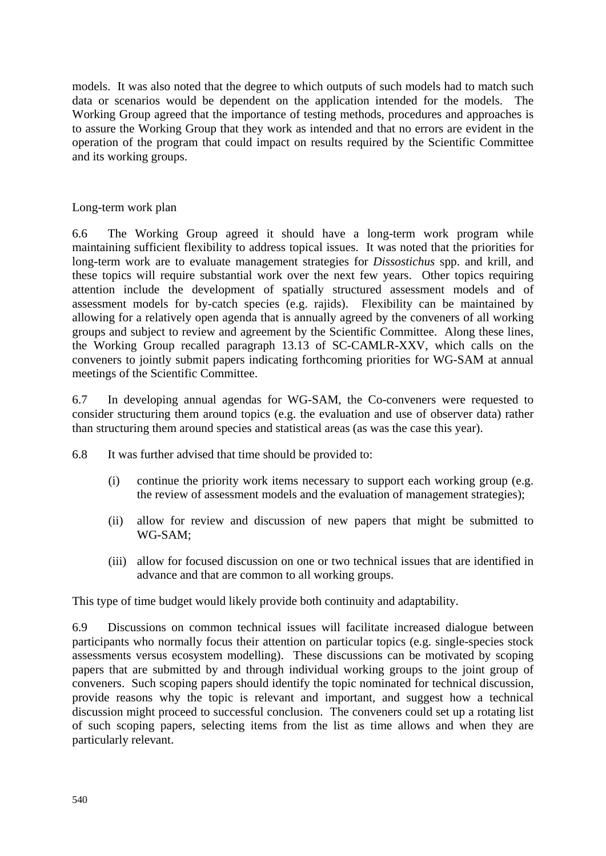models. It was also noted that the degree to which outputs of such models had to match such data or scenarios would be dependent on the application intended for the models. The Working Group agreed that the importance of testing methods, procedures and approaches is to assure the Working Group that they work as intended and that no errors are evident in the operation of the program that could impact on results required by the Scientific Committee and its working groups.

#### Long-term work plan

6.6 The Working Group agreed it should have a long-term work program while maintaining sufficient flexibility to address topical issues. It was noted that the priorities for long-term work are to evaluate management strategies for *Dissostichus* spp. and krill, and these topics will require substantial work over the next few years. Other topics requiring attention include the development of spatially structured assessment models and of assessment models for by-catch species (e.g. rajids). Flexibility can be maintained by allowing for a relatively open agenda that is annually agreed by the conveners of all working groups and subject to review and agreement by the Scientific Committee. Along these lines, the Working Group recalled paragraph 13.13 of SC-CAMLR-XXV, which calls on the conveners to jointly submit papers indicating forthcoming priorities for WG-SAM at annual meetings of the Scientific Committee.

6.7 In developing annual agendas for WG-SAM, the Co-conveners were requested to consider structuring them around topics (e.g. the evaluation and use of observer data) rather than structuring them around species and statistical areas (as was the case this year).

6.8 It was further advised that time should be provided to:

- (i) continue the priority work items necessary to support each working group (e.g. the review of assessment models and the evaluation of management strategies);
- (ii) allow for review and discussion of new papers that might be submitted to WG-SAM;
- (iii) allow for focused discussion on one or two technical issues that are identified in advance and that are common to all working groups.

This type of time budget would likely provide both continuity and adaptability.

6.9 Discussions on common technical issues will facilitate increased dialogue between participants who normally focus their attention on particular topics (e.g. single-species stock assessments versus ecosystem modelling). These discussions can be motivated by scoping papers that are submitted by and through individual working groups to the joint group of conveners. Such scoping papers should identify the topic nominated for technical discussion, provide reasons why the topic is relevant and important, and suggest how a technical discussion might proceed to successful conclusion. The conveners could set up a rotating list of such scoping papers, selecting items from the list as time allows and when they are particularly relevant.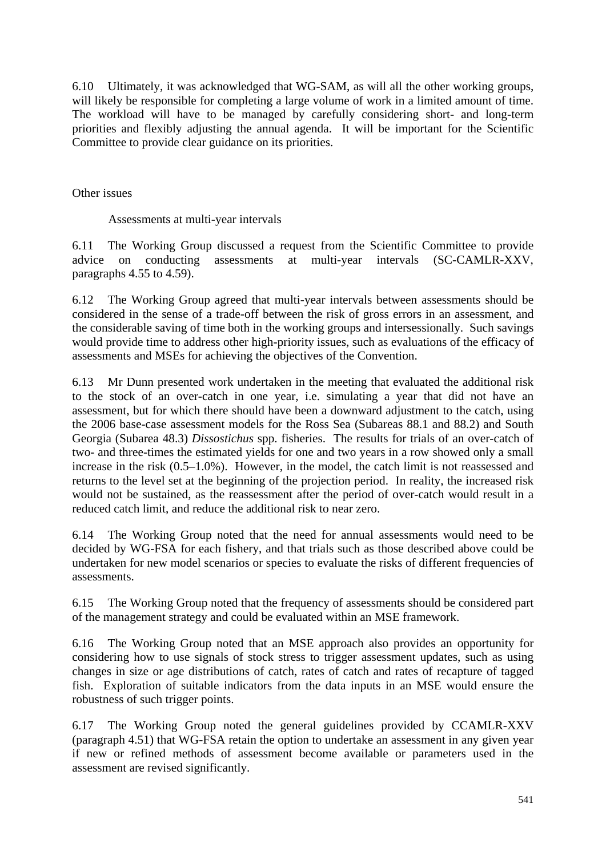6.10 Ultimately, it was acknowledged that WG-SAM, as will all the other working groups, will likely be responsible for completing a large volume of work in a limited amount of time. The workload will have to be managed by carefully considering short- and long-term priorities and flexibly adjusting the annual agenda. It will be important for the Scientific Committee to provide clear guidance on its priorities.

Other issues

Assessments at multi-year intervals

6.11 The Working Group discussed a request from the Scientific Committee to provide advice on conducting assessments at multi-year intervals (SC-CAMLR-XXV, paragraphs 4.55 to 4.59).

6.12 The Working Group agreed that multi-year intervals between assessments should be considered in the sense of a trade-off between the risk of gross errors in an assessment, and the considerable saving of time both in the working groups and intersessionally. Such savings would provide time to address other high-priority issues, such as evaluations of the efficacy of assessments and MSEs for achieving the objectives of the Convention.

6.13 Mr Dunn presented work undertaken in the meeting that evaluated the additional risk to the stock of an over-catch in one year, i.e. simulating a year that did not have an assessment, but for which there should have been a downward adjustment to the catch, using the 2006 base-case assessment models for the Ross Sea (Subareas 88.1 and 88.2) and South Georgia (Subarea 48.3) *Dissostichus* spp. fisheries. The results for trials of an over-catch of two- and three-times the estimated yields for one and two years in a row showed only a small increase in the risk (0.5–1.0%). However, in the model, the catch limit is not reassessed and returns to the level set at the beginning of the projection period. In reality, the increased risk would not be sustained, as the reassessment after the period of over-catch would result in a reduced catch limit, and reduce the additional risk to near zero.

6.14 The Working Group noted that the need for annual assessments would need to be decided by WG-FSA for each fishery, and that trials such as those described above could be undertaken for new model scenarios or species to evaluate the risks of different frequencies of assessments.

6.15 The Working Group noted that the frequency of assessments should be considered part of the management strategy and could be evaluated within an MSE framework.

6.16 The Working Group noted that an MSE approach also provides an opportunity for considering how to use signals of stock stress to trigger assessment updates, such as using changes in size or age distributions of catch, rates of catch and rates of recapture of tagged fish. Exploration of suitable indicators from the data inputs in an MSE would ensure the robustness of such trigger points.

6.17 The Working Group noted the general guidelines provided by CCAMLR-XXV (paragraph 4.51) that WG-FSA retain the option to undertake an assessment in any given year if new or refined methods of assessment become available or parameters used in the assessment are revised significantly.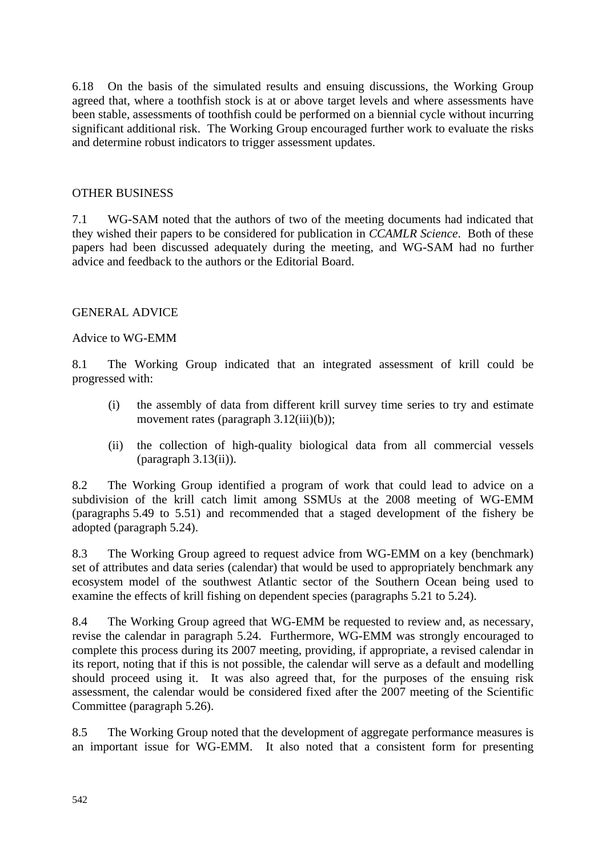6.18 On the basis of the simulated results and ensuing discussions, the Working Group agreed that, where a toothfish stock is at or above target levels and where assessments have been stable, assessments of toothfish could be performed on a biennial cycle without incurring significant additional risk. The Working Group encouraged further work to evaluate the risks and determine robust indicators to trigger assessment updates.

## OTHER BUSINESS

7.1 WG-SAM noted that the authors of two of the meeting documents had indicated that they wished their papers to be considered for publication in *CCAMLR Science*. Both of these papers had been discussed adequately during the meeting, and WG-SAM had no further advice and feedback to the authors or the Editorial Board.

#### GENERAL ADVICE

#### Advice to WG-EMM

8.1 The Working Group indicated that an integrated assessment of krill could be progressed with:

- (i) the assembly of data from different krill survey time series to try and estimate movement rates (paragraph 3.12(iii)(b));
- (ii) the collection of high-quality biological data from all commercial vessels (paragraph 3.13(ii)).

8.2 The Working Group identified a program of work that could lead to advice on a subdivision of the krill catch limit among SSMUs at the 2008 meeting of WG-EMM (paragraphs 5.49 to 5.51) and recommended that a staged development of the fishery be adopted (paragraph 5.24).

8.3 The Working Group agreed to request advice from WG-EMM on a key (benchmark) set of attributes and data series (calendar) that would be used to appropriately benchmark any ecosystem model of the southwest Atlantic sector of the Southern Ocean being used to examine the effects of krill fishing on dependent species (paragraphs 5.21 to 5.24).

8.4 The Working Group agreed that WG-EMM be requested to review and, as necessary, revise the calendar in paragraph 5.24. Furthermore, WG-EMM was strongly encouraged to complete this process during its 2007 meeting, providing, if appropriate, a revised calendar in its report, noting that if this is not possible, the calendar will serve as a default and modelling should proceed using it. It was also agreed that, for the purposes of the ensuing risk assessment, the calendar would be considered fixed after the 2007 meeting of the Scientific Committee (paragraph 5.26).

8.5 The Working Group noted that the development of aggregate performance measures is an important issue for WG-EMM. It also noted that a consistent form for presenting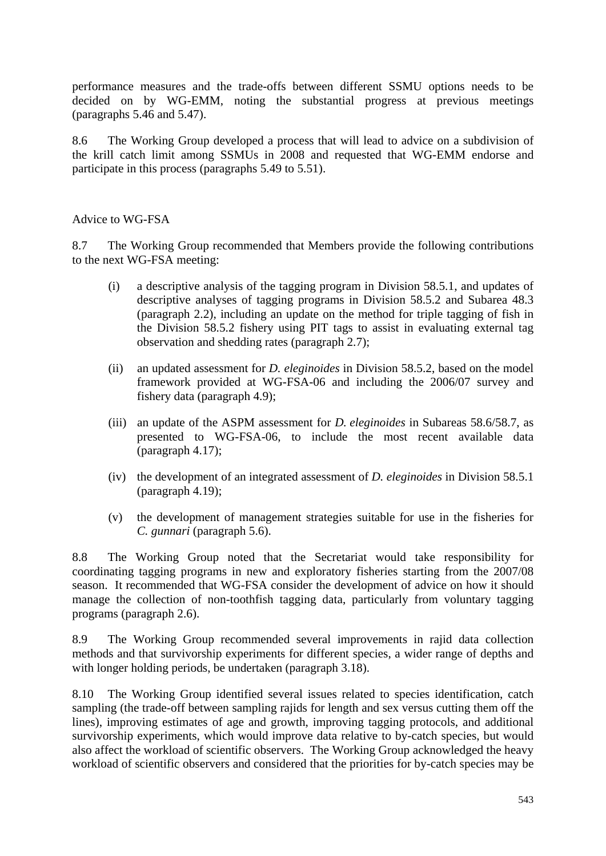performance measures and the trade-offs between different SSMU options needs to be decided on by WG-EMM, noting the substantial progress at previous meetings (paragraphs 5.46 and 5.47).

8.6 The Working Group developed a process that will lead to advice on a subdivision of the krill catch limit among SSMUs in 2008 and requested that WG-EMM endorse and participate in this process (paragraphs 5.49 to 5.51).

#### Advice to WG-FSA

8.7 The Working Group recommended that Members provide the following contributions to the next WG-FSA meeting:

- (i) a descriptive analysis of the tagging program in Division 58.5.1, and updates of descriptive analyses of tagging programs in Division 58.5.2 and Subarea 48.3 (paragraph 2.2), including an update on the method for triple tagging of fish in the Division 58.5.2 fishery using PIT tags to assist in evaluating external tag observation and shedding rates (paragraph 2.7);
- (ii) an updated assessment for *D. eleginoides* in Division 58.5.2, based on the model framework provided at WG-FSA-06 and including the 2006/07 survey and fishery data (paragraph 4.9);
- (iii) an update of the ASPM assessment for *D. eleginoides* in Subareas 58.6/58.7, as presented to WG-FSA-06, to include the most recent available data (paragraph 4.17);
- (iv) the development of an integrated assessment of *D. eleginoides* in Division 58.5.1 (paragraph 4.19);
- (v) the development of management strategies suitable for use in the fisheries for *C. gunnari* (paragraph 5.6).

8.8 The Working Group noted that the Secretariat would take responsibility for coordinating tagging programs in new and exploratory fisheries starting from the 2007/08 season. It recommended that WG-FSA consider the development of advice on how it should manage the collection of non-toothfish tagging data, particularly from voluntary tagging programs (paragraph 2.6).

8.9 The Working Group recommended several improvements in rajid data collection methods and that survivorship experiments for different species, a wider range of depths and with longer holding periods, be undertaken (paragraph 3.18).

8.10 The Working Group identified several issues related to species identification, catch sampling (the trade-off between sampling rajids for length and sex versus cutting them off the lines), improving estimates of age and growth, improving tagging protocols, and additional survivorship experiments, which would improve data relative to by-catch species, but would also affect the workload of scientific observers. The Working Group acknowledged the heavy workload of scientific observers and considered that the priorities for by-catch species may be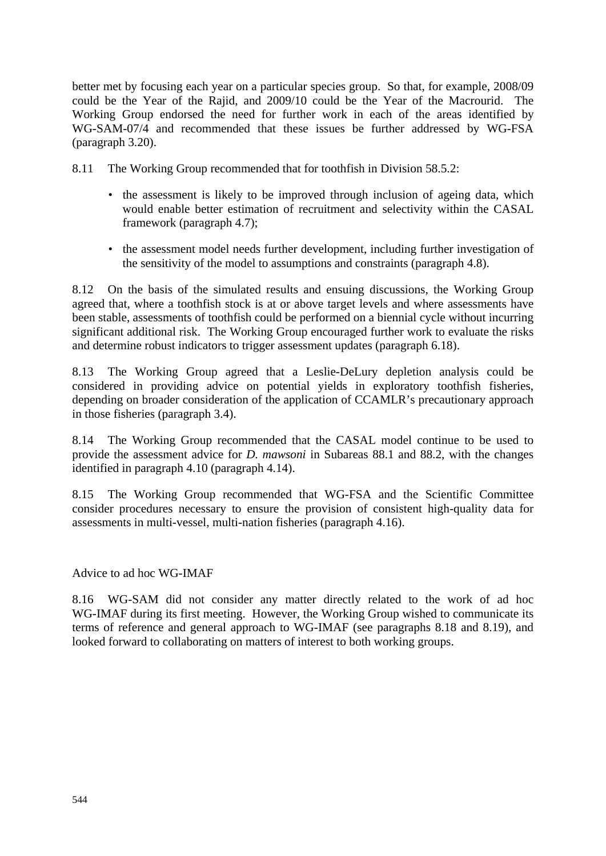better met by focusing each year on a particular species group. So that, for example, 2008/09 could be the Year of the Rajid, and 2009/10 could be the Year of the Macrourid. The Working Group endorsed the need for further work in each of the areas identified by WG-SAM-07/4 and recommended that these issues be further addressed by WG-FSA (paragraph 3.20).

8.11 The Working Group recommended that for toothfish in Division 58.5.2:

- the assessment is likely to be improved through inclusion of ageing data, which would enable better estimation of recruitment and selectivity within the CASAL framework (paragraph 4.7);
- the assessment model needs further development, including further investigation of the sensitivity of the model to assumptions and constraints (paragraph 4.8).

8.12 On the basis of the simulated results and ensuing discussions, the Working Group agreed that, where a toothfish stock is at or above target levels and where assessments have been stable, assessments of toothfish could be performed on a biennial cycle without incurring significant additional risk. The Working Group encouraged further work to evaluate the risks and determine robust indicators to trigger assessment updates (paragraph 6.18).

8.13 The Working Group agreed that a Leslie-DeLury depletion analysis could be considered in providing advice on potential yields in exploratory toothfish fisheries, depending on broader consideration of the application of CCAMLR's precautionary approach in those fisheries (paragraph 3.4).

8.14 The Working Group recommended that the CASAL model continue to be used to provide the assessment advice for *D. mawsoni* in Subareas 88.1 and 88.2, with the changes identified in paragraph 4.10 (paragraph 4.14).

8.15 The Working Group recommended that WG-FSA and the Scientific Committee consider procedures necessary to ensure the provision of consistent high-quality data for assessments in multi-vessel, multi-nation fisheries (paragraph 4.16).

Advice to ad hoc WG-IMAF

8.16 WG-SAM did not consider any matter directly related to the work of ad hoc WG-IMAF during its first meeting. However, the Working Group wished to communicate its terms of reference and general approach to WG-IMAF (see paragraphs 8.18 and 8.19), and looked forward to collaborating on matters of interest to both working groups.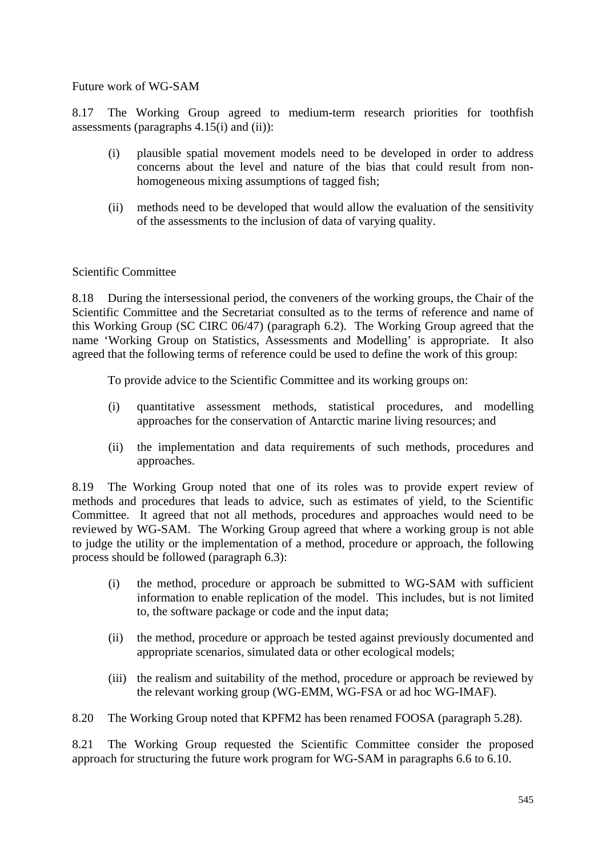Future work of WG-SAM

8.17 The Working Group agreed to medium-term research priorities for toothfish assessments (paragraphs 4.15(i) and (ii)):

- (i) plausible spatial movement models need to be developed in order to address concerns about the level and nature of the bias that could result from nonhomogeneous mixing assumptions of tagged fish;
- (ii) methods need to be developed that would allow the evaluation of the sensitivity of the assessments to the inclusion of data of varying quality.

#### Scientific Committee

8.18 During the intersessional period, the conveners of the working groups, the Chair of the Scientific Committee and the Secretariat consulted as to the terms of reference and name of this Working Group (SC CIRC 06/47) (paragraph 6.2). The Working Group agreed that the name 'Working Group on Statistics, Assessments and Modelling' is appropriate. It also agreed that the following terms of reference could be used to define the work of this group:

To provide advice to the Scientific Committee and its working groups on:

- (i) quantitative assessment methods, statistical procedures, and modelling approaches for the conservation of Antarctic marine living resources; and
- (ii) the implementation and data requirements of such methods, procedures and approaches.

8.19 The Working Group noted that one of its roles was to provide expert review of methods and procedures that leads to advice, such as estimates of yield, to the Scientific Committee. It agreed that not all methods, procedures and approaches would need to be reviewed by WG-SAM. The Working Group agreed that where a working group is not able to judge the utility or the implementation of a method, procedure or approach, the following process should be followed (paragraph 6.3):

- (i) the method, procedure or approach be submitted to WG-SAM with sufficient information to enable replication of the model. This includes, but is not limited to, the software package or code and the input data;
- (ii) the method, procedure or approach be tested against previously documented and appropriate scenarios, simulated data or other ecological models;
- (iii) the realism and suitability of the method, procedure or approach be reviewed by the relevant working group (WG-EMM, WG-FSA or ad hoc WG-IMAF).

8.20 The Working Group noted that KPFM2 has been renamed FOOSA (paragraph 5.28).

8.21 The Working Group requested the Scientific Committee consider the proposed approach for structuring the future work program for WG-SAM in paragraphs 6.6 to 6.10.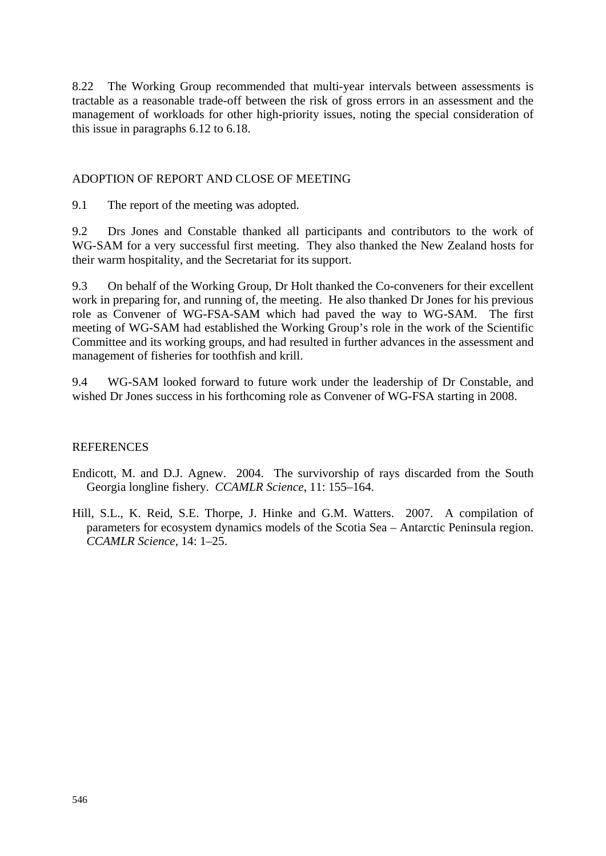8.22 The Working Group recommended that multi-year intervals between assessments is tractable as a reasonable trade-off between the risk of gross errors in an assessment and the management of workloads for other high-priority issues, noting the special consideration of this issue in paragraphs 6.12 to 6.18.

#### ADOPTION OF REPORT AND CLOSE OF MEETING

9.1 The report of the meeting was adopted.

9.2 Drs Jones and Constable thanked all participants and contributors to the work of WG-SAM for a very successful first meeting. They also thanked the New Zealand hosts for their warm hospitality, and the Secretariat for its support.

9.3 On behalf of the Working Group, Dr Holt thanked the Co-conveners for their excellent work in preparing for, and running of, the meeting. He also thanked Dr Jones for his previous role as Convener of WG-FSA-SAM which had paved the way to WG-SAM. The first meeting of WG-SAM had established the Working Group's role in the work of the Scientific Committee and its working groups, and had resulted in further advances in the assessment and management of fisheries for toothfish and krill.

9.4 WG-SAM looked forward to future work under the leadership of Dr Constable, and wished Dr Jones success in his forthcoming role as Convener of WG-FSA starting in 2008.

#### REFERENCES

Endicott, M. and D.J. Agnew. 2004. The survivorship of rays discarded from the South Georgia longline fishery. *CCAMLR Science*, 11: 155–164.

Hill, S.L., K. Reid, S.E. Thorpe, J. Hinke and G.M. Watters. 2007. A compilation of parameters for ecosystem dynamics models of the Scotia Sea – Antarctic Peninsula region. *CCAMLR Science*, 14: 1–25.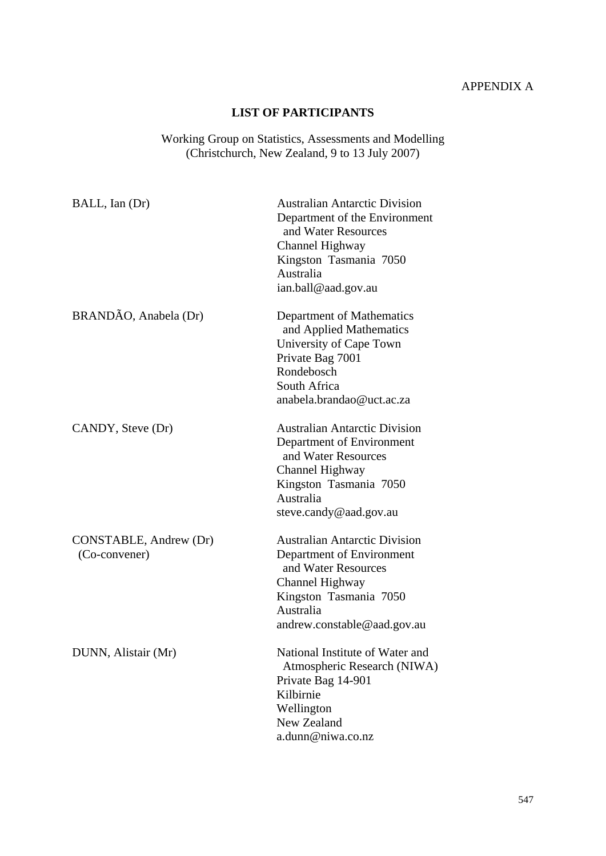# APPENDIX A

## **LIST OF PARTICIPANTS**

#### Working Group on Statistics, Assessments and Modelling (Christchurch, New Zealand, 9 to 13 July 2007)

| BALL, Ian (Dr)                          | <b>Australian Antarctic Division</b><br>Department of the Environment<br>and Water Resources<br>Channel Highway<br>Kingston Tasmania 7050<br>Australia<br>ian.ball@aad.gov.au     |
|-----------------------------------------|-----------------------------------------------------------------------------------------------------------------------------------------------------------------------------------|
| BRANDÃO, Anabela (Dr)                   | Department of Mathematics<br>and Applied Mathematics<br>University of Cape Town<br>Private Bag 7001<br>Rondebosch<br>South Africa<br>anabela.brandao@uct.ac.za                    |
| CANDY, Steve (Dr)                       | <b>Australian Antarctic Division</b><br>Department of Environment<br>and Water Resources<br>Channel Highway<br>Kingston Tasmania 7050<br>Australia<br>steve.candy@aad.gov.au      |
| CONSTABLE, Andrew (Dr)<br>(Co-convener) | <b>Australian Antarctic Division</b><br>Department of Environment<br>and Water Resources<br>Channel Highway<br>Kingston Tasmania 7050<br>Australia<br>andrew.constable@aad.gov.au |
| DUNN, Alistair (Mr)                     | National Institute of Water and<br>Atmospheric Research (NIWA)<br>Private Bag 14-901<br>Kilbirnie<br>Wellington<br>New Zealand<br>a.dunn@niwa.co.nz                               |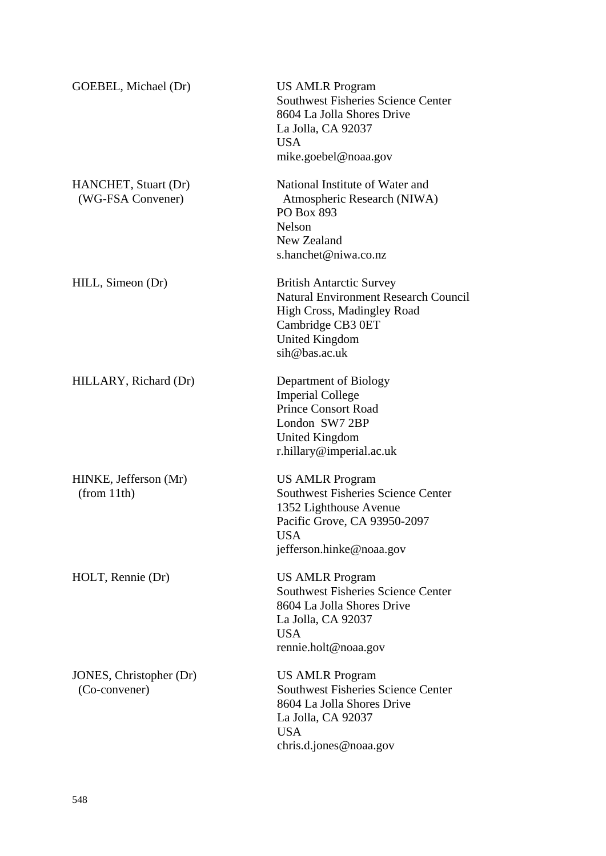| GOEBEL, Michael (Dr)                      | <b>US AMLR Program</b><br><b>Southwest Fisheries Science Center</b><br>8604 La Jolla Shores Drive<br>La Jolla, CA 92037<br><b>USA</b><br>mike.goebel@noaa.gov               |
|-------------------------------------------|-----------------------------------------------------------------------------------------------------------------------------------------------------------------------------|
| HANCHET, Stuart (Dr)<br>(WG-FSA Convener) | National Institute of Water and<br>Atmospheric Research (NIWA)<br>PO Box 893<br>Nelson<br>New Zealand<br>s.hanchet@niwa.co.nz                                               |
| HILL, Simeon (Dr)                         | <b>British Antarctic Survey</b><br><b>Natural Environment Research Council</b><br>High Cross, Madingley Road<br>Cambridge CB3 0ET<br><b>United Kingdom</b><br>sih@bas.ac.uk |
| HILLARY, Richard (Dr)                     | Department of Biology<br><b>Imperial College</b><br><b>Prince Consort Road</b><br>London SW7 2BP<br><b>United Kingdom</b><br>r.hillary@imperial.ac.uk                       |
| HINKE, Jefferson (Mr)<br>(from 11th)      | <b>US AMLR Program</b><br><b>Southwest Fisheries Science Center</b><br>1352 Lighthouse Avenue<br>Pacific Grove, CA 93950-2097<br>USA<br>jefferson.hinke@noaa.gov            |
| HOLT, Rennie (Dr)                         | <b>US AMLR Program</b><br><b>Southwest Fisheries Science Center</b><br>8604 La Jolla Shores Drive<br>La Jolla, CA 92037<br><b>USA</b><br>rennie.holt@noaa.gov               |
| JONES, Christopher (Dr)<br>(Co-convener)  | <b>US AMLR Program</b><br><b>Southwest Fisheries Science Center</b><br>8604 La Jolla Shores Drive<br>La Jolla, CA 92037<br><b>USA</b><br>chris.d.jones@noaa.gov             |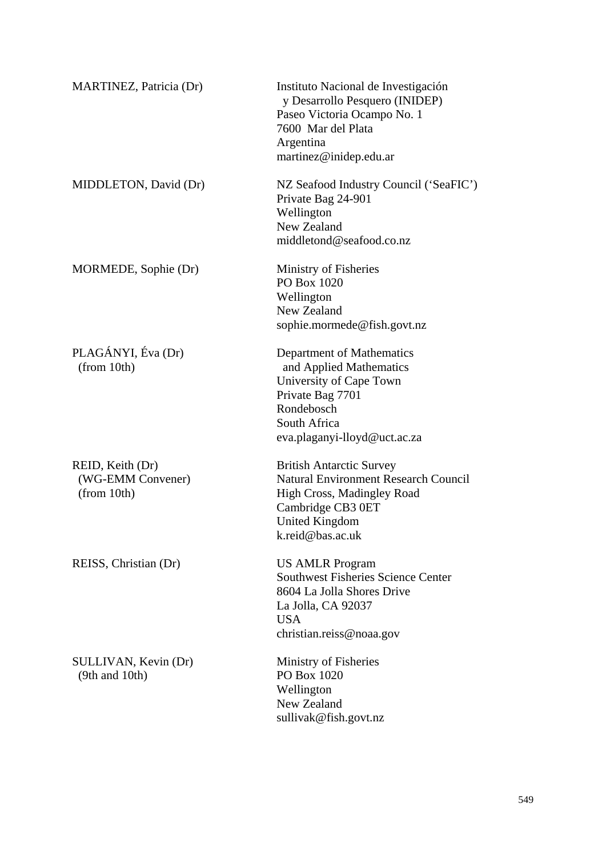| MARTINEZ, Patricia (Dr)                              | Instituto Nacional de Investigación<br>y Desarrollo Pesquero (INIDEP)<br>Paseo Victoria Ocampo No. 1<br>7600 Mar del Plata<br>Argentina<br>martinez@inidep.edu.ar              |
|------------------------------------------------------|--------------------------------------------------------------------------------------------------------------------------------------------------------------------------------|
| MIDDLETON, David (Dr)                                | NZ Seafood Industry Council ('SeaFIC')<br>Private Bag 24-901<br>Wellington<br>New Zealand<br>middletond@seafood.co.nz                                                          |
| MORMEDE, Sophie (Dr)                                 | Ministry of Fisheries<br>PO Box 1020<br>Wellington<br>New Zealand<br>sophie.mormede@fish.govt.nz                                                                               |
| PLAGÁNYI, Éva (Dr)<br>(from 10th)                    | Department of Mathematics<br>and Applied Mathematics<br>University of Cape Town<br>Private Bag 7701<br>Rondebosch<br>South Africa<br>eva.plaganyi-lloyd@uct.ac.za              |
| REID, Keith (Dr)<br>(WG-EMM Convener)<br>(from 10th) | <b>British Antarctic Survey</b><br><b>Natural Environment Research Council</b><br>High Cross, Madingley Road<br>Cambridge CB3 0ET<br><b>United Kingdom</b><br>k.reid@bas.ac.uk |
| REISS, Christian (Dr)                                | <b>US AMLR Program</b><br><b>Southwest Fisheries Science Center</b><br>8604 La Jolla Shores Drive<br>La Jolla, CA 92037<br><b>USA</b><br>christian.reiss@noaa.gov              |
| SULLIVAN, Kevin (Dr)<br>$(9th$ and $10th)$           | Ministry of Fisheries<br>PO Box 1020<br>Wellington<br>New Zealand<br>sullivak@fish.govt.nz                                                                                     |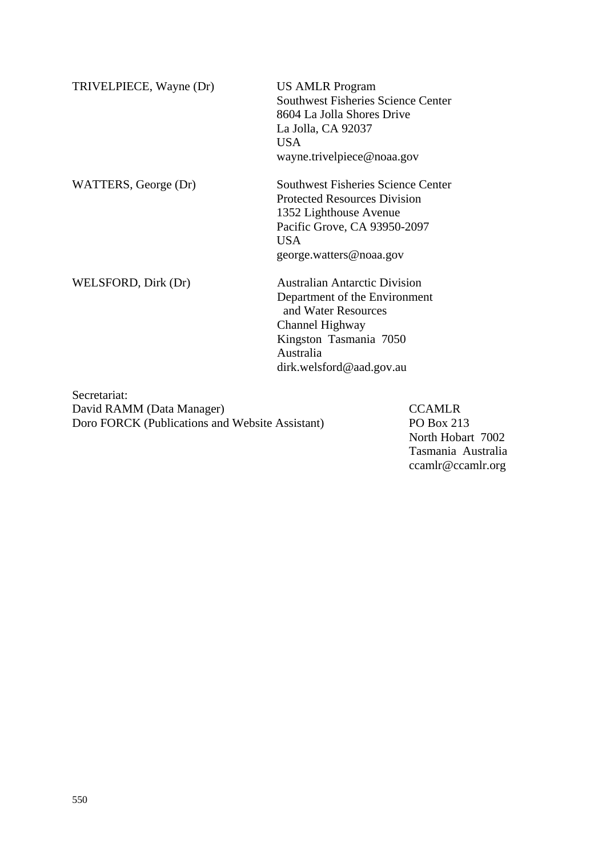| TRIVELPIECE, Wayne (Dr) | <b>US AMLR Program</b><br><b>Southwest Fisheries Science Center</b><br>8604 La Jolla Shores Drive<br>La Jolla, CA 92037<br><b>USA</b><br>wayne.trivelpiece@noaa.gov                 |
|-------------------------|-------------------------------------------------------------------------------------------------------------------------------------------------------------------------------------|
| WATTERS, George (Dr)    | <b>Southwest Fisheries Science Center</b><br><b>Protected Resources Division</b><br>1352 Lighthouse Avenue<br>Pacific Grove, CA 93950-2097<br><b>USA</b><br>george.watters@noaa.gov |
| WELSFORD, Dirk (Dr)     | <b>Australian Antarctic Division</b><br>Department of the Environment<br>and Water Resources<br>Channel Highway<br>Kingston Tasmania 7050<br>Australia<br>dirk.welsford@aad.gov.au  |

Secretariat: David RAMM (Data Manager) CCAMLR Doro FORCK (Publications and Website Assistant) PO Box 213

North Hobart 7002 Tasmania Australia [ccamlr@ccamlr.org](mailto:ccamlr@ccamlr.org)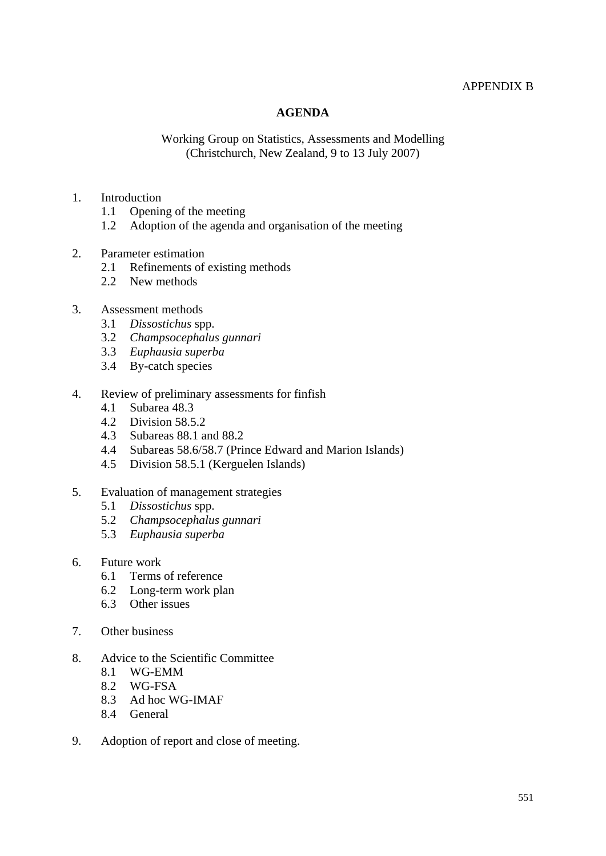#### APPENDIX B

#### **AGENDA**

#### Working Group on Statistics, Assessments and Modelling (Christchurch, New Zealand, 9 to 13 July 2007)

#### 1. Introduction

- 1.1 Opening of the meeting
- 1.2 Adoption of the agenda and organisation of the meeting
- 2. Parameter estimation<br>2.1 Refinements of
	- Refinements of existing methods
	- 2.2 New methods

#### 3. Assessment methods

- 3.1 *Dissostichus* spp.
- 3.2 *Champsocephalus gunnari*
- 3.3 *Euphausia superba*
- 3.4 By-catch species
- 4. Review of preliminary assessments for finfish
	- 4.1 Subarea 48.3
	- 4.2 Division 58.5.2
	- 4.3 Subareas 88.1 and 88.2
	- 4.4 Subareas 58.6/58.7 (Prince Edward and Marion Islands)
	- 4.5 Division 58.5.1 (Kerguelen Islands)
- 5. Evaluation of management strategies
	- 5.1 *Dissostichus* spp.
	- 5.2 *Champsocephalus gunnari*
	- 5.3 *Euphausia superba*
- 6. Future work
	- 6.1 Terms of reference
	- 6.2 Long-term work plan
	- 6.3 Other issues
- 7. Other business
- 8. Advice to the Scientific Committee
	- 8.1 WG-EMM
	- 8.2 WG-FSA
	- 8.3 Ad hoc WG-IMAF
	- 8.4 General
- 9. Adoption of report and close of meeting.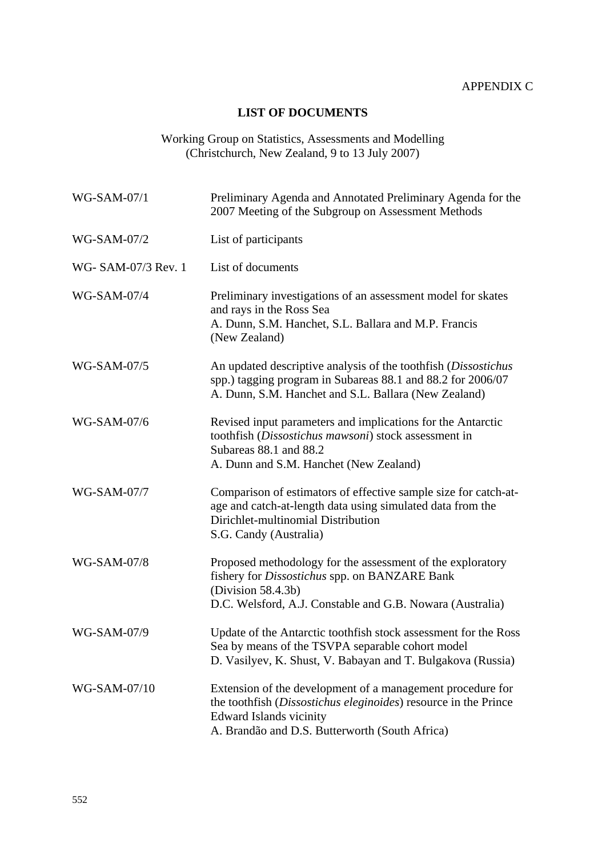## **LIST OF DOCUMENTS**

Working Group on Statistics, Assessments and Modelling (Christchurch, New Zealand, 9 to 13 July 2007)

| WG-SAM-07/1         | Preliminary Agenda and Annotated Preliminary Agenda for the<br>2007 Meeting of the Subgroup on Assessment Methods                                                                                          |
|---------------------|------------------------------------------------------------------------------------------------------------------------------------------------------------------------------------------------------------|
| WG-SAM-07/2         | List of participants                                                                                                                                                                                       |
| WG- SAM-07/3 Rev. 1 | List of documents                                                                                                                                                                                          |
| <b>WG-SAM-07/4</b>  | Preliminary investigations of an assessment model for skates<br>and rays in the Ross Sea<br>A. Dunn, S.M. Hanchet, S.L. Ballara and M.P. Francis<br>(New Zealand)                                          |
| WG-SAM-07/5         | An updated descriptive analysis of the toothfish (Dissostichus<br>spp.) tagging program in Subareas 88.1 and 88.2 for 2006/07<br>A. Dunn, S.M. Hanchet and S.L. Ballara (New Zealand)                      |
| WG-SAM-07/6         | Revised input parameters and implications for the Antarctic<br>toothfish (Dissostichus mawsoni) stock assessment in<br>Subareas 88.1 and 88.2<br>A. Dunn and S.M. Hanchet (New Zealand)                    |
| WG-SAM-07/7         | Comparison of estimators of effective sample size for catch-at-<br>age and catch-at-length data using simulated data from the<br>Dirichlet-multinomial Distribution<br>S.G. Candy (Australia)              |
| WG-SAM-07/8         | Proposed methodology for the assessment of the exploratory<br>fishery for <i>Dissostichus</i> spp. on BANZARE Bank<br>(Division 58.4.3b)<br>D.C. Welsford, A.J. Constable and G.B. Nowara (Australia)      |
| WG-SAM-07/9         | Update of the Antarctic toothfish stock assessment for the Ross<br>Sea by means of the TSVPA separable cohort model<br>D. Vasilyev, K. Shust, V. Babayan and T. Bulgakova (Russia)                         |
| WG-SAM-07/10        | Extension of the development of a management procedure for<br>the toothfish (Dissostichus eleginoides) resource in the Prince<br>Edward Islands vicinity<br>A. Brandão and D.S. Butterworth (South Africa) |